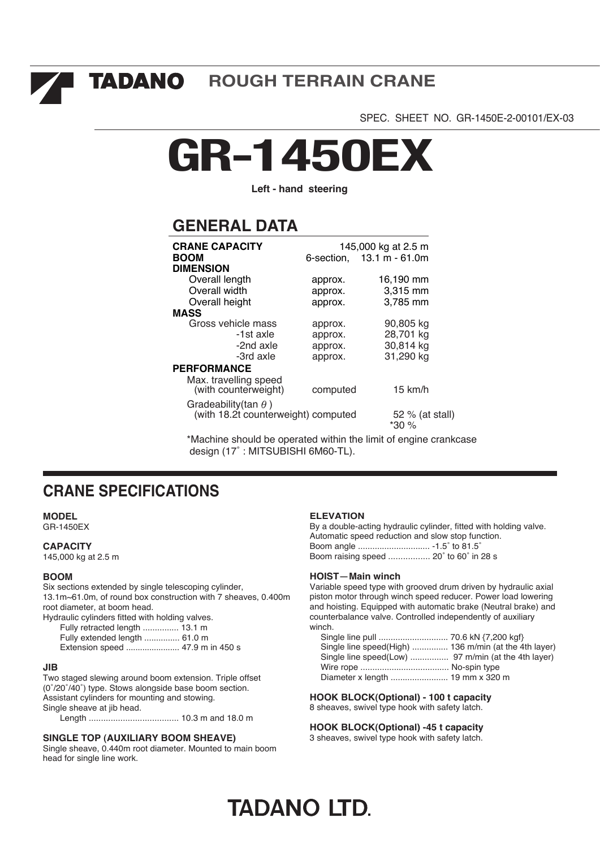I TADANO **ROUGH TERRAIN CRANE**

SPEC. SHEET NO. GR-1450E-2-00101/EX-03

# **GR-1450EX**

**Left - hand steering**

# **GENERAL DATA**

| <b>CRANE CAPACITY</b><br><b>BOOM</b><br><b>DIMENSION</b>            | 6-section. | 145,000 kg at 2.5 m<br>$13.1 m - 61.0m$ |
|---------------------------------------------------------------------|------------|-----------------------------------------|
| Overall length                                                      | approx.    | 16,190 mm                               |
| Overall width                                                       | approx.    | 3,315 mm                                |
| Overall height                                                      | approx.    | 3,785 mm                                |
| <b>MASS</b>                                                         |            |                                         |
| Gross vehicle mass                                                  | approx.    | 90,805 kg                               |
| -1st axle                                                           | approx.    | 28,701 kg                               |
| -2nd axle                                                           | approx.    | 30,814 kg                               |
| -3rd axle                                                           | approx.    | 31,290 kg                               |
| <b>PERFORMANCE</b>                                                  |            |                                         |
| Max. travelling speed<br>(with counterweight)                       | computed   | $15 \text{ km/h}$                       |
| Gradeability (tan $\theta$ )<br>(with 18.2t counterweight) computed |            | 52 % (at stall)<br>*30 %                |

\*Machine should be operated within the limit of engine crankcase design (17˚ : MITSUBISHI 6M60-TL).

## **CRANE SPECIFICATIONS**

### **MODEL**

GR-1450EX

#### **CAPACITY**

145,000 kg at 2.5 m

#### **BOOM**

Six sections extended by single telescoping cylinder, 13.1m~61.0m, of round box construction with 7 sheaves, 0.400m root diameter, at boom head.

Hydraulic cylinders fitted with holding valves. Fully retracted length ............... 13.1 m Fully extended length ............... 61.0 m Extension speed ....................... 47.9 m in 450 s

#### **JIB**

Two staged slewing around boom extension. Triple offset (0˚/20˚/40˚) type. Stows alongside base boom section. Assistant cylinders for mounting and stowing. Single sheave at jib head.

Length ..................................... 10.3 m and 18.0 m

#### **SINGLE TOP (AUXILIARY BOOM SHEAVE)**

Single sheave, 0.440m root diameter. Mounted to main boom head for single line work.

#### **ELEVATION**

By a double-acting hydraulic cylinder, fitted with holding valve. Automatic speed reduction and slow stop function. Boom angle .............................. -1.5˚ to 81.5˚ Boom raising speed ................. 20˚ to 60˚ in 28 s

#### **HOIST**-**Main winch**

Variable speed type with grooved drum driven by hydraulic axial piston motor through winch speed reducer. Power load lowering and hoisting. Equipped with automatic brake (Neutral brake) and counterbalance valve. Controlled independently of auxiliary winch.

| Single line speed(High)  136 m/min (at the 4th layer) |  |
|-------------------------------------------------------|--|
|                                                       |  |
|                                                       |  |
|                                                       |  |

**HOOK BLOCK(Optional) - 100 t capacity** 8 sheaves, swivel type hook with safety latch.

#### **HOOK BLOCK(Optional) -45 t capacity**

3 sheaves, swivel type hook with safety latch.

# **TADANO LTD.**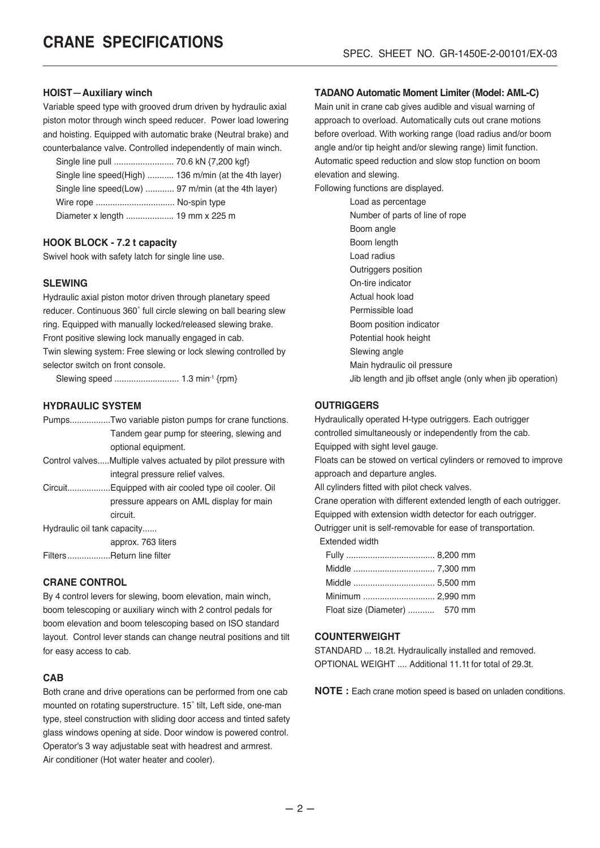#### **HOIST**-**Auxiliary winch**

Variable speed type with grooved drum driven by hydraulic axial piston motor through winch speed reducer. Power load lowering and hoisting. Equipped with automatic brake (Neutral brake) and counterbalance valve. Controlled independently of main winch.

| Single line speed(High)  136 m/min (at the 4th layer) |  |
|-------------------------------------------------------|--|
| Single line speed(Low)  97 m/min (at the 4th layer)   |  |
| Wire rope  No-spin type                               |  |
| Diameter x length  19 mm x 225 m                      |  |

#### **HOOK BLOCK - 7.2 t capacity**

Swivel hook with safety latch for single line use.

#### **SLEWING**

Hydraulic axial piston motor driven through planetary speed reducer. Continuous 360˚ full circle slewing on ball bearing slew ring. Equipped with manually locked/released slewing brake. Front positive slewing lock manually engaged in cab. Twin slewing system: Free slewing or lock slewing controlled by selector switch on front console.

Slewing speed ........................... 1.3 min-1 {rpm}

#### **HYDRAULIC SYSTEM**

|                             | PumpsTwo variable piston pumps for crane functions.           |
|-----------------------------|---------------------------------------------------------------|
|                             | Tandem gear pump for steering, slewing and                    |
|                             | optional equipment.                                           |
|                             | Control valvesMultiple valves actuated by pilot pressure with |
|                             | integral pressure relief valves.                              |
|                             | CircuitEquipped with air cooled type oil cooler. Oil          |
|                             | pressure appears on AML display for main                      |
|                             | circuit.                                                      |
| Hydraulic oil tank capacity |                                                               |
|                             | approx. 763 liters                                            |
| FiltersReturn line filter   |                                                               |
|                             |                                                               |

#### **CRANE CONTROL**

By 4 control levers for slewing, boom elevation, main winch, boom telescoping or auxiliary winch with 2 control pedals for boom elevation and boom telescoping based on ISO standard layout. Control lever stands can change neutral positions and tilt for easy access to cab.

#### **CAB**

Both crane and drive operations can be performed from one cab mounted on rotating superstructure. 15˚ tilt, Left side, one-man type, steel construction with sliding door access and tinted safety glass windows opening at side. Door window is powered control. Operator's 3 way adjustable seat with headrest and armrest. Air conditioner (Hot water heater and cooler).

#### **TADANO Automatic Moment Limiter (Model: AML-C)**

Main unit in crane cab gives audible and visual warning of approach to overload. Automatically cuts out crane motions before overload. With working range (load radius and/or boom angle and/or tip height and/or slewing range) limit function. Automatic speed reduction and slow stop function on boom elevation and slewing.

Following functions are displayed.

Load as percentage Number of parts of line of rope Boom angle Boom length Load radius Outriggers position On-tire indicator Actual hook load Permissible load Boom position indicator Potential hook height Slewing angle Main hydraulic oil pressure Jib length and jib offset angle (only when jib operation)

#### **OUTRIGGERS**

Hydraulically operated H-type outriggers. Each outrigger controlled simultaneously or independently from the cab. Equipped with sight level gauge. Floats can be stowed on vertical cylinders or removed to improve approach and departure angles.

All cylinders fitted with pilot check valves.

Crane operation with different extended length of each outrigger. Equipped with extension width detector for each outrigger.

Outrigger unit is self-removable for ease of transportation.

Extended width

| Float size (Diameter)  570 mm |  |
|-------------------------------|--|

#### **COUNTERWEIGHT**

STANDARD ... 18.2t. Hydraulically installed and removed. OPTIONAL WEIGHT .... Additional 11.1t for total of 29.3t.

**NOTE :** Each crane motion speed is based on unladen conditions.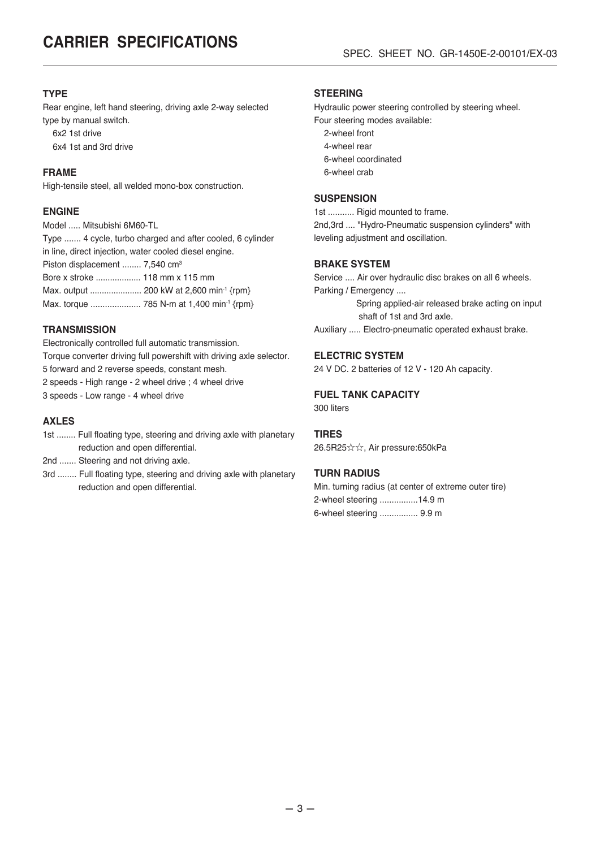#### **TYPE**

Rear engine, left hand steering, driving axle 2-way selected type by manual switch. 6x2 1st drive 6x4 1st and 3rd drive

#### **FRAME**

High-tensile steel, all welded mono-box construction.

#### **ENGINE**

Model ..... Mitsubishi 6M60-TL

Type ....... 4 cycle, turbo charged and after cooled, 6 cylinder in line, direct injection, water cooled diesel engine.

Piston displacement ........ 7,540 cm<sup>3</sup>

Bore x stroke ................... 118 mm x 115 mm

Max. output ...................... 200 kW at 2,600 min-1 {rpm}

Max. torque ........................ 785 N-m at 1,400 min<sup>-1</sup> {rpm}

#### **TRANSMISSION**

Electronically controlled full automatic transmission. Torque converter driving full powershift with driving axle selector. 5 forward and 2 reverse speeds, constant mesh. 2 speeds - High range - 2 wheel drive ; 4 wheel drive

3 speeds - Low range - 4 wheel drive

#### **AXLES**

1st ........ Full floating type, steering and driving axle with planetary reduction and open differential.

2nd ....... Steering and not driving axle.

3rd ........ Full floating type, steering and driving axle with planetary reduction and open differential.

#### **STEERING**

Hydraulic power steering controlled by steering wheel. Four steering modes available:

- 2-wheel front
- 4-wheel rear
- 6-wheel coordinated
- 6-wheel crab

#### **SUSPENSION**

1st ........... Rigid mounted to frame. 2nd,3rd .... "Hydro-Pneumatic suspension cylinders" with leveling adjustment and oscillation.

#### **BRAKE SYSTEM**

Service .... Air over hydraulic disc brakes on all 6 wheels. Parking / Emergency ....

> Spring applied-air released brake acting on input shaft of 1st and 3rd axle.

Auxiliary ..... Electro-pneumatic operated exhaust brake.

#### **ELECTRIC SYSTEM**

24 V DC. 2 batteries of 12 V - 120 Ah capacity.

#### **FUEL TANK CAPACITY**

300 liters

#### **TIRES**

26.5R25☆☆, Air pressure:650kPa

#### **TURN RADIUS**

| Min. turning radius (at center of extreme outer tire) |
|-------------------------------------------------------|
| 2-wheel steering 14.9 m                               |
| 6-wheel steering  9.9 m                               |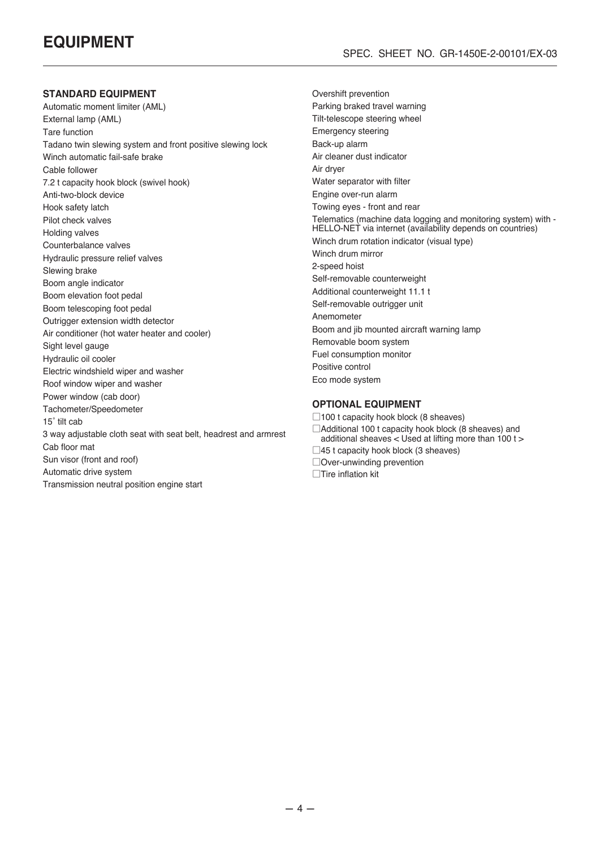#### **STANDARD EQUIPMENT**

Automatic moment limiter (AML) External lamp (AML) Tare function Tadano twin slewing system and front positive slewing lock Winch automatic fail-safe brake Cable follower 7.2 t capacity hook block (swivel hook) Anti-two-block device Hook safety latch Pilot check valves Holding valves Counterbalance valves Hydraulic pressure relief valves Slewing brake Boom angle indicator Boom elevation foot pedal Boom telescoping foot pedal Outrigger extension width detector Air conditioner (hot water heater and cooler) Sight level gauge Hydraulic oil cooler Electric windshield wiper and washer Roof window wiper and washer Power window (cab door) Tachometer/Speedometer 15˚ tilt cab 3 way adjustable cloth seat with seat belt, headrest and armrest Cab floor mat Sun visor (front and roof) Automatic drive system Transmission neutral position engine start

Overshift prevention Parking braked travel warning Tilt-telescope steering wheel Emergency steering Back-up alarm Air cleaner dust indicator Air dryer Water separator with filter Engine over-run alarm Towing eyes - front and rear Telematics (machine data logging and monitoring system) with - HELLO-NET via internet (availability depends on countries) Winch drum rotation indicator (visual type) Winch drum mirror 2-speed hoist Self-removable counterweight Additional counterweight 11.1 t Self-removable outrigger unit Anemometer Boom and jib mounted aircraft warning lamp Removable boom system Fuel consumption monitor Positive control Eco mode system

#### **OPTIONAL EQUIPMENT**

 $\Box$ 100 t capacity hook block (8 sheaves) □Additional 100 t capacity hook block (8 sheaves) and additional sheaves < Used at lifting more than 100 t >  $\square$ 45 t capacity hook block (3 sheaves) □Over-unwinding prevention

□Tire inflation kit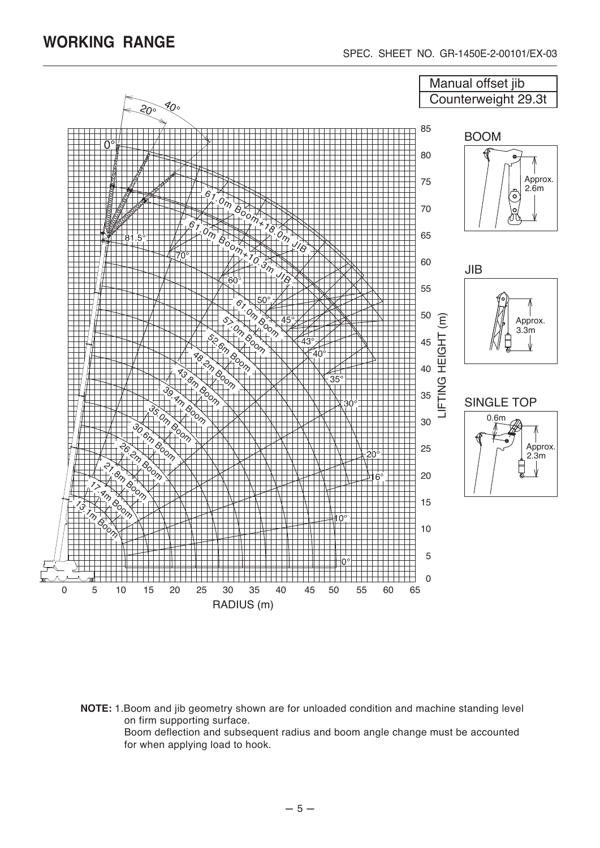

**NOTE:** 1.Boom and jib geometry shown are for unloaded condition and machine standing level on firm supporting surface.

Boom deflection and subsequent radius and boom angle change must be accounted for when applying load to hook.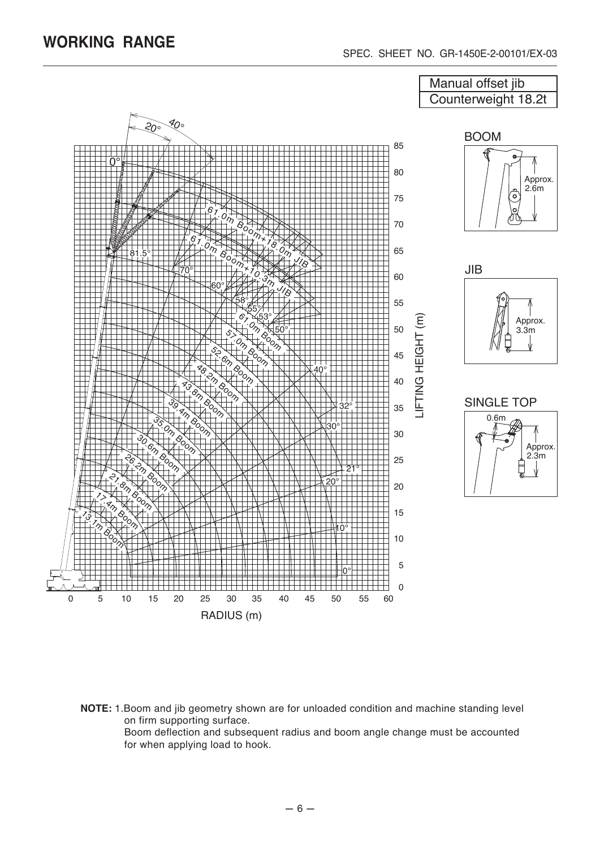

**NOTE:** 1.Boom and jib geometry shown are for unloaded condition and machine standing level on firm supporting surface.

Boom deflection and subsequent radius and boom angle change must be accounted for when applying load to hook.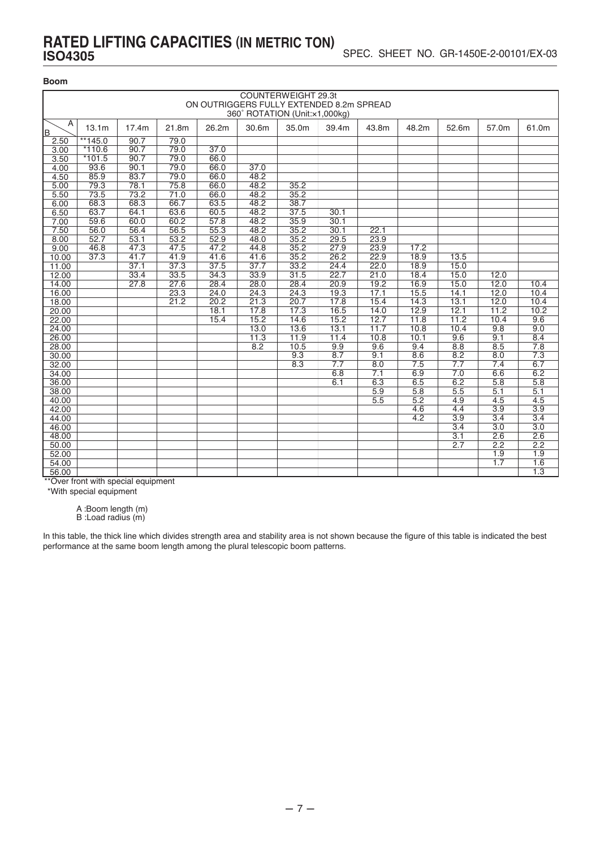### **RATED LIFTING CAPACITIES (IN METRIC TON) ISO4305**

#### **Boom**

|          | COUNTERWEIGHT 29.3t<br>ON OUTRIGGERS FULLY EXTENDED 8.2m SPREAD<br>360° ROTATION (Unit:x1,000kg)                     |      |                   |      |      |      |      |      |      |                  |      |      |  |  |
|----------|----------------------------------------------------------------------------------------------------------------------|------|-------------------|------|------|------|------|------|------|------------------|------|------|--|--|
| A<br>lB. | 13.1 <sub>m</sub><br>30.6m<br>35.0m<br>17.4m<br>21.8m<br>26.2m<br>39.4m<br>43.8m<br>48.2m<br>52.6m<br>57.0m<br>61.0m |      |                   |      |      |      |      |      |      |                  |      |      |  |  |
| 2.50     | $**145.0$                                                                                                            | 90.7 | 79.0              |      |      |      |      |      |      |                  |      |      |  |  |
| 3.00     | $*110.6$                                                                                                             | 90.7 | 79.0              | 37.0 |      |      |      |      |      |                  |      |      |  |  |
| 3.50     | $*101.5$                                                                                                             | 90.7 | 79.0              | 66.0 |      |      |      |      |      |                  |      |      |  |  |
| 4.00     | 93.6                                                                                                                 | 90.1 | 79.0              | 66.0 | 37.0 |      |      |      |      |                  |      |      |  |  |
| 4.50     | 85.9                                                                                                                 | 83.7 | 79.0              | 66.0 | 48.2 |      |      |      |      |                  |      |      |  |  |
| 5.00     | 79.3                                                                                                                 | 78.1 | 75.8              | 66.0 | 48.2 | 35.2 |      |      |      |                  |      |      |  |  |
| 5.50     | 73.5                                                                                                                 | 73.2 | $\overline{71}.0$ | 66.0 | 48.2 | 35.2 |      |      |      |                  |      |      |  |  |
| 6.00     | 68.3                                                                                                                 | 68.3 | 66.7              | 63.5 | 48.2 | 38.7 |      |      |      |                  |      |      |  |  |
| 6.50     | 63.7                                                                                                                 | 64.1 | 63.6              | 60.5 | 48.2 | 37.5 | 30.1 |      |      |                  |      |      |  |  |
| 7.00     | 59.6                                                                                                                 | 60.0 | 60.2              | 57.8 | 48.2 | 35.9 | 30.1 |      |      |                  |      |      |  |  |
| 7.50     | 56.0                                                                                                                 | 56.4 | 56.5              | 55.3 | 48.2 | 35.2 | 30.1 | 22.1 |      |                  |      |      |  |  |
| 8.00     | 52.7                                                                                                                 | 53.1 | 53.2              | 52.9 | 48.0 | 35.2 | 29.5 | 23.9 |      |                  |      |      |  |  |
| 9.00     | 46.8                                                                                                                 | 47.3 | 47.5              | 47.2 | 44.8 | 35.2 | 27.9 | 23.9 | 17.2 |                  |      |      |  |  |
| 10.00    | 37.3                                                                                                                 | 41.7 | 41.9              | 41.6 | 41.6 | 35.2 | 26.2 | 22.9 | 18.9 | 13.5             |      |      |  |  |
| 11.00    |                                                                                                                      | 37.1 | 37.3              | 37.5 | 37.7 | 33.2 | 24.4 | 22.0 | 18.9 | 15.0             |      |      |  |  |
| 12.00    |                                                                                                                      | 33.4 | 33.5              | 34.3 | 33.9 | 31.5 | 22.7 | 21.0 | 18.4 | 15.0             | 12.0 |      |  |  |
| 14.00    |                                                                                                                      | 27.8 | 27.6              | 28.4 | 28.0 | 28.4 | 20.9 | 19.2 | 16.9 | 15.0             | 12.0 | 10.4 |  |  |
| 16.00    |                                                                                                                      |      | 23.3              | 24.0 | 24.3 | 24.3 | 19.3 | 17.1 | 15.5 | 14.1             | 12.0 | 10.4 |  |  |
| 18.00    |                                                                                                                      |      | 21.2              | 20.2 | 21.3 | 20.7 | 17.8 | 15.4 | 14.3 | 13.1             | 12.0 | 10.4 |  |  |
| 20.00    |                                                                                                                      |      |                   | 18.1 | 17.8 | 17.3 | 16.5 | 14.0 | 12.9 | 12.1             | 11.2 | 10.2 |  |  |
| 22.00    |                                                                                                                      |      |                   | 15.4 | 15.2 | 14.6 | 15.2 | 12.7 | 11.8 | 11.2             | 10.4 | 9.6  |  |  |
| 24.00    |                                                                                                                      |      |                   |      | 13.0 | 13.6 | 13.1 | 11.7 | 10.8 | 10.4             | 9.8  | 9.0  |  |  |
| 26.00    |                                                                                                                      |      |                   |      | 11.3 | 11.9 | 11.4 | 10.8 | 10.1 | 9.6              | 9.1  | 8.4  |  |  |
| 28.00    |                                                                                                                      |      |                   |      | 8.2  | 10.5 | 9.9  | 9.6  | 9.4  | 8.8              | 8.5  | 7.8  |  |  |
| 30.00    |                                                                                                                      |      |                   |      |      | 9.3  | 8.7  | 9.1  | 8.6  | 8.2              | 8.0  | 7.3  |  |  |
| 32.00    |                                                                                                                      |      |                   |      |      | 8.3  | 7.7  | 8.0  | 7.5  | 7.7              | 7.4  | 6.7  |  |  |
| 34.00    |                                                                                                                      |      |                   |      |      |      | 6.8  | 7.1  | 6.9  | 7.0              | 6.6  | 6.2  |  |  |
| 36.00    |                                                                                                                      |      |                   |      |      |      | 6.1  | 6.3  | 6.5  | 6.2              | 5.8  | 5.8  |  |  |
| 38.00    |                                                                                                                      |      |                   |      |      |      |      | 5.9  | 5.8  | 5.5              | 5.1  | 5.1  |  |  |
| 40.00    |                                                                                                                      |      |                   |      |      |      |      | 5.5  | 5.2  | 4.9              | 4.5  | 4.5  |  |  |
| 42.00    |                                                                                                                      |      |                   |      |      |      |      |      | 4.6  | 4.4              | 3.9  | 3.9  |  |  |
| 44.00    |                                                                                                                      |      |                   |      |      |      |      |      | 4.2  | 3.9              | 3.4  | 3.4  |  |  |
| 46.00    |                                                                                                                      |      |                   |      |      |      |      |      |      | $\overline{3.4}$ | 3.0  | 3.0  |  |  |
| 48.00    |                                                                                                                      |      |                   |      |      |      |      |      |      | 3.1              | 2.6  | 2.6  |  |  |
| 50.00    |                                                                                                                      |      |                   |      |      |      |      |      |      | 2.7              | 2.2  | 2.2  |  |  |
| 52.00    |                                                                                                                      |      |                   |      |      |      |      |      |      |                  | 1.9  | 1.9  |  |  |
| 54.00    |                                                                                                                      |      |                   |      |      |      |      |      |      |                  | 1.7  | 1.6  |  |  |
| 56.00    |                                                                                                                      |      |                   |      |      |      |      |      |      |                  |      | 1.3  |  |  |

\*\*Over front with special equipment

\*With special equipment

A :Boom length (m)

B :Load radius (m)

In this table, the thick line which divides strength area and stability area is not shown because the figure of this table is indicated the best performance at the same boom length among the plural telescopic boom patterns.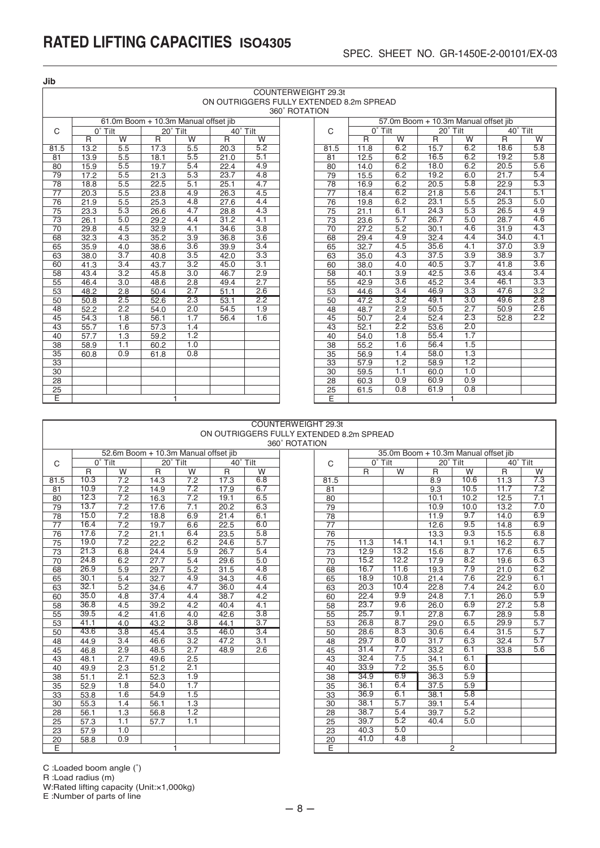**Jib**

|                 | COUNTERWEIGHT 29.3t                      |                  |                                      |                  |          |                  |  |                 |                  |                  |                                      |                  |              |                  |
|-----------------|------------------------------------------|------------------|--------------------------------------|------------------|----------|------------------|--|-----------------|------------------|------------------|--------------------------------------|------------------|--------------|------------------|
|                 | ON OUTRIGGERS FULLY EXTENDED 8.2m SPREAD |                  |                                      |                  |          |                  |  |                 |                  |                  |                                      |                  |              |                  |
|                 | 360° ROTATION                            |                  |                                      |                  |          |                  |  |                 |                  |                  |                                      |                  |              |                  |
|                 |                                          |                  | 61.0m Boom + 10.3m Manual offset iib |                  |          |                  |  |                 |                  |                  | 57.0m Boom + 10.3m Manual offset iib |                  |              |                  |
| $\mathsf{C}$    | $0°$ Tilt                                |                  | 20° Tilt                             |                  | 40° Tilt |                  |  | $\mathsf{C}$    | $0^{\circ}$ Tilt |                  | 20° Tilt                             |                  | 40° Tilt     |                  |
|                 | R                                        | W                | $\mathsf{R}$                         | W                | R        | W                |  |                 | R                | W                | R                                    | W                | $\mathsf{R}$ | W                |
| 81.5            | 13.2                                     | 5.5              | 17.3                                 | 5.5              | 20.3     | 5.2              |  | 81.5            | 11.8             | 6.2              | 15.7                                 | 6.2              | 18.6         | 5.8              |
| 81              | 13.9                                     | 5.5              | 18.1                                 | 5.5              | 21.0     | 5.1              |  | $\overline{81}$ | 12.5             | 6.2              | 16.5                                 | 6.2              | 19.2         | 5.8              |
| 80              | 15.9                                     | 5.5              | 19.7                                 | 5.4              | 22.4     | 4.9              |  | 80              | 14.0             | 6.2              | 18.0                                 | 6.2              | 20.5         | 5.6              |
| 79              | 17.2                                     | 5.5              | 21.3                                 | 5.3              | 23.7     | 4.8              |  | 79              | 15.5             | 6.2              | 19.2                                 | 6.0              | 21.7         | 5.4              |
| 78              | 18.8                                     | 5.5              | 22.5                                 | 5.1              | 25.1     | 4.7              |  | 78              | 16.9             | 6.2              | 20.5                                 | 5.8              | 22.9         | 5.3              |
| $\overline{77}$ | 20.3                                     | 5.5              | 23.8                                 | 4.9              | 26.3     | 4.5              |  | $\overline{77}$ | 18.4             | 6.2              | 21.8                                 | 5.6              | 24.1         | 5.1              |
| 76              | 21.9                                     | 5.5              | 25.3                                 | 4.8              | 27.6     | 4.4              |  | 76              | 19.8             | 6.2              | 23.1                                 | 5.5              | 25.3         | 5.0              |
| 75              | 23.3                                     | 5.3              | 26.6                                 | 4.7              | 28.8     | 4.3              |  | 75              | 21.1             | 6.1              | 24.3                                 | 5.3              | 26.5         | 4.9              |
| $\overline{73}$ | 26.1                                     | 5.0              | 29.2                                 | 4.4              | 31.2     | 4.1              |  | 73              | 23.6             | 5.7              | 26.7                                 | 5.0              | 28.7         | 4.6              |
| 70              | 29.8                                     | 4.5              | 32.9                                 | 4.1              | 34.6     | $\overline{3.8}$ |  | $\overline{70}$ | 27.2             | 5.2              | 30.1                                 | 4.6              | 31.9         | 4.3              |
| 68              | 32.3                                     | 4.3              | 35.2                                 | $\overline{3.9}$ | 36.8     | 3.6              |  | 68              | 29.4             | 4.9              | 32.4                                 | 4.4              | 34.0         | 4.1              |
| 65              | 35.9                                     | 4.0              | 38.6                                 | $\overline{3.6}$ | 39.9     | 3.4              |  | 65              | 32.7             | 4.5              | 35.6                                 | 4.1              | 37.0         | 3.9              |
| 63              | 38.0                                     | 3.7              | 40.8                                 | $\overline{3.5}$ | 42.0     | $\overline{3.3}$ |  | 63              | 35.0             | 4.3              | 37.5                                 | 3.9              | 38.9         | 3.7              |
| 60              | 41.3                                     | 3.4              | 43.7                                 | 3.2              | 45.0     | 3.1              |  | 60              | 38.0             | 4.0              | 40.5                                 | $\overline{3.7}$ | 41.8         | $\overline{3.6}$ |
| $\overline{58}$ | 43.4                                     | 3.2              | 45.8                                 | 3.0              | 46.7     | 2.9              |  | 58              | 40.1             | $\overline{3.9}$ | 42.5                                 | 3.6              | 43.4         | 3.4              |
| 55              | 46.4                                     | $\overline{3.0}$ | 48.6                                 | 2.8              | 49.4     | 2.7              |  | 55              | 42.9             | 3.6              | 45.2                                 | 3.4              | 46.1         | 3.3              |
| 53              | 48.2                                     | 2.8              | 50.4                                 | 2.7              | 51.1     | 2.6              |  | $\overline{53}$ | 44.6             | 3.4              | 46.9                                 | $\overline{3.3}$ | 47.6         | 3.2              |
| 50              | 50.8                                     | 2.5              | 52.6                                 | 2.3              | 53.1     | 2.2              |  | 50              | 47.2             | 3.2              | 49.1                                 | 3.0              | 49.6         | 2.8              |
| 48              | 52.2                                     | $\overline{2.2}$ | 54.0                                 | 2.0              | 54.5     | 1.9              |  | 48              | 48.7             | 2.9              | 50.5                                 | 2.7              | 50.9         | 2.6              |
| 45              | 54.3                                     | 1.8              | 56.1                                 | 1.7              | 56.4     | 1.6              |  | 45              | 50.7             | 2.4              | 52.4                                 | 2.3              | 52.8         | 2.2              |
| 43              | 55.7                                     | 1.6              | 57.3                                 | 1.4              |          |                  |  | 43              | 52.1             | $\overline{2.2}$ | 53.6                                 | 2.0              |              |                  |
| 40              | 57.7                                     | $\overline{1.3}$ | 59.2                                 | $\overline{1.2}$ |          |                  |  | 40              | 54.0             | 1.8              | 55.4                                 | 1.7              |              |                  |
| $\overline{38}$ | 58.9                                     | 1.1              | 60.2                                 | 1.0              |          |                  |  | 38              | 55.2             | 1.6              | 56.4                                 | 1.5              |              |                  |
| $\overline{35}$ | 60.8                                     | 0.9              | 61.8                                 | 0.8              |          |                  |  | $\overline{35}$ | 56.9             | 1.4              | 58.0                                 | 1.3              |              |                  |
| $\overline{33}$ |                                          |                  |                                      |                  |          |                  |  | 33              | 57.9             | $\overline{1.2}$ | 58.9                                 | 1.2              |              |                  |
| 30              |                                          |                  |                                      |                  |          |                  |  | $\overline{30}$ | 59.5             | 1.1              | 60.0                                 | 1.0              |              |                  |
| 28              |                                          |                  |                                      |                  |          |                  |  | 28              | 60.3             | 0.9              | 60.9                                 | 0.9              |              |                  |
| $\overline{25}$ |                                          |                  |                                      |                  |          |                  |  | 25              | 61.5             | 0.8              | 61.9                                 | 0.8              |              |                  |
| Ē               |                                          |                  |                                      |                  |          |                  |  | Ε               |                  |                  |                                      |                  |              |                  |

|                 |                                      |                  |          |                  |      |                                          | COUNTERWEIGHT 29.3t |      |      |           |  |  |
|-----------------|--------------------------------------|------------------|----------|------------------|------|------------------------------------------|---------------------|------|------|-----------|--|--|
|                 |                                      |                  |          |                  |      | ON OUTRIGGERS FULLY EXTENDED 8.2m SPREAD |                     |      |      |           |  |  |
| 360° ROTATION   |                                      |                  |          |                  |      |                                          |                     |      |      |           |  |  |
|                 | 52.6m Boom + 10.3m Manual offset jib |                  |          |                  |      |                                          |                     |      |      |           |  |  |
| C               | $0°$ Tilt                            |                  | 20° Tilt |                  |      | 40° Tilt                                 |                     | C    |      | $0°$ Tilt |  |  |
|                 | R                                    | W                | R        | W                | R    | W                                        |                     |      | R    |           |  |  |
| 81.5            | 10.3                                 | 7.2              | 14.3     | $\overline{7.2}$ | 17.3 | 6.8                                      |                     | 81.5 |      |           |  |  |
| 81              | 10.9                                 | $\overline{7.2}$ | 14.9     | 7.2              | 17.9 | 6.7                                      |                     | 81   |      |           |  |  |
| 80              | 12.3                                 | 7.2              | 16.3     | 7.2              | 19.1 | 6.5                                      |                     | 80   |      |           |  |  |
| 79              | 13.7                                 | 7.2              | 17.6     | 7.1              | 20.2 | 6.3                                      |                     | 79   |      |           |  |  |
| 78              | 15.0                                 | 7.2              | 18.8     | 6.9              | 21.4 | 6.1                                      |                     | 78   |      |           |  |  |
| 77              | 16.4                                 | 7.2              | 19.7     | 6.6              | 22.5 | 6.0                                      |                     | 77   |      |           |  |  |
| 76              | 17.6                                 | 7.2              | 21.1     | 6.4              | 23.5 | 5.8                                      |                     | 76   |      |           |  |  |
| 75              | 19.0                                 | 7.2              | 22.2     | 6.2              | 24.6 | 5.7                                      |                     | 75   | 11.3 |           |  |  |
| 73              | 21.3                                 | 6.8              | 24.4     | 5.9              | 26.7 | 5.4                                      |                     | 73   | 12.9 |           |  |  |
| $\overline{70}$ | 24.8                                 | 6.2              | 27.7     | 5.4              | 29.6 | 5.0                                      |                     | 70   | 15.2 |           |  |  |
| 68              | 26.9                                 | 5.9              | 29.7     | 5.2              | 31.5 | 4.8                                      |                     | 68   | 16.7 |           |  |  |
| 65              | 30.1                                 | 5.4              | 32.7     | 4.9              | 34.3 | 4.6                                      |                     | 65   | 18.9 |           |  |  |
| 63              | 32.1                                 | 5.2              | 34.6     | 4.7              | 36.0 | 4.4                                      |                     | 63   | 20.3 |           |  |  |
| 60              | 35.0                                 | 4.8              | 37.4     | 4.4              | 38.7 | 4.2                                      |                     | 60   | 22.4 |           |  |  |
| 58              | 36.8                                 | 4.5              | 39.2     | 4.2              | 40.4 | 4.1                                      |                     | 58   | 23.7 |           |  |  |
| 55              | 39.5                                 | $\overline{4.2}$ | 41.6     | 4.0              | 42.6 | $\overline{3.8}$                         |                     | 55   | 25.7 |           |  |  |
| 53              | 41.1                                 | 4.0              | 43.2     | 3.8              | 44.1 | $\overline{3.7}$                         |                     | 53   | 26.8 |           |  |  |
| 50              | 43.6                                 | $\overline{3.8}$ | 45.4     | $\overline{3.5}$ | 46.0 | $\overline{3.4}$                         |                     | 50   | 28.6 |           |  |  |
| 48              | 44.9                                 | 3.4              | 46.6     | 3.2              | 47.2 | 3.1                                      |                     | 48   | 29.7 |           |  |  |
| 45              | 46.8                                 | 2.9              | 48.5     | 2.7              | 48.9 | 2.6                                      |                     | 45   | 31.4 |           |  |  |
| 43              | 48.1                                 | 2.7              | 49.6     | 2.5              |      |                                          |                     | 43   | 32.4 |           |  |  |
| 40              | 49.9                                 | 2.3              | 51.2     | 2.1              |      |                                          |                     | 40   | 33.9 |           |  |  |
| 38              | 51.1                                 | 2.1              | 52.3     | 1.9              |      |                                          |                     | 38   | 34.9 |           |  |  |
| 35              | 52.9                                 | 1.8              | 54.0     | $\overline{1.7}$ |      |                                          |                     | 35   | 36.1 |           |  |  |
| 33              | 53.8                                 | 1.6              | 54.9     | 1.5              |      |                                          |                     | 33   | 36.9 |           |  |  |
| 30              | 55.3                                 | 1.4              | 56.1     | 1.3              |      |                                          |                     | 30   | 38.1 |           |  |  |
| 28              | 56.1                                 | 1.3              | 56.8     | 1.2              |      |                                          |                     | 28   | 38.7 |           |  |  |
| 25              | 57.3                                 | 1.1              | 57.7     | 1.1              |      |                                          |                     | 25   | 39.7 |           |  |  |
| 23              | 57.9                                 | 1.0              |          |                  |      |                                          |                     | 23   | 40.3 |           |  |  |
| 20              | 58.8                                 | 0.9              |          |                  |      |                                          |                     | 20   | 41.0 |           |  |  |
|                 |                                      |                  |          |                  |      |                                          |                     |      |      |           |  |  |

|                  |                                      |          |     |      |          | 360° ROTATION |      |                  |      |                                      |      |          |                  |
|------------------|--------------------------------------|----------|-----|------|----------|---------------|------|------------------|------|--------------------------------------|------|----------|------------------|
|                  | 52.6m Boom + 10.3m Manual offset iib |          |     |      |          |               |      |                  |      | 35.0m Boom + 10.3m Manual offset iib |      |          |                  |
| $0^{\circ}$ Tilt |                                      | 20° Tilt |     |      | 40° Tilt |               | C    | $0^{\circ}$ Tilt |      | 20° Tilt                             |      | 40° Tilt |                  |
| R                | W                                    | R        | W   | R    | W        |               |      | $\mathsf{R}$     | W    | R                                    | W    | R        | W                |
| 0.3              | $\overline{7.2}$                     | 14.3     | 7.2 | 17.3 | 6.8      |               | 81.5 |                  |      | 8.9                                  | 10.6 | 11.3     | 7:               |
| 0.9              | 7.2                                  | 14.9     | 7.2 | 17.9 | 6.7      |               | 81   |                  |      | 9.3                                  | 10.5 | 11.7     | 7:               |
| 2.3              | 7.2                                  | 16.3     | 7.2 | 19.1 | 6.5      |               | 80   |                  |      | 10.1                                 | 10.2 | 12.5     | $\overline{7}$ . |
| 3.7              | 7.2                                  | 17.6     | 7.1 | 20.2 | 6.3      |               | 79   |                  |      | 10.9                                 | 10.0 | 13.2     | 7.0              |
| 5.0              | 7.2                                  | 18.8     | 6.9 | 21.4 | 6.1      |               | 78   |                  |      | 11.9                                 | 9.7  | 14.0     | 6.9              |
| 6.4              | 7.2                                  | 19.7     | 6.6 | 22.5 | 6.0      |               | 77   |                  |      | 12.6                                 | 9.5  | 14.8     | 6.9              |
| 7.6              | 7.2                                  | 21.1     | 6.4 | 23.5 | 5.8      |               | 76   |                  |      | 13.3                                 | 9.3  | 15.5     | 6.8              |
| 9.0              | 7.2                                  | 22.2     | 6.2 | 24.6 | 5.7      |               | 75   | 11.3             | 14.1 | 14.1                                 | 9.1  | 16.2     | 6.               |
| 1.3              | 6.8                                  | 24.4     | 5.9 | 26.7 | 5.4      |               | 73   | 12.9             | 13.2 | 15.6                                 | 8.7  | 17.6     | 6.5              |
| 4.8              | 6.2                                  | 27.7     | 5.4 | 29.6 | 5.0      |               | 70   | 15.2             | 12.2 | 17.9                                 | 8.2  | 19.6     | 6.3              |
| 6.9              | 5.9                                  | 29.7     | 5.2 | 31.5 | 4.8      |               | 68   | 16.7             | 11.6 | 19.3                                 | 7.9  | 21.0     | 6.2              |
| 0.1              | 5.4                                  | 32.7     | 4.9 | 34.3 | 4.6      |               | 65   | 18.9             | 10.8 | 21.4                                 | 7.6  | 22.9     | 6.               |
| 2.1              | 5.2                                  | 34.6     | 4.7 | 36.0 | 4.4      |               | 63   | 20.3             | 10.4 | 22.8                                 | 7.4  | 24.2     | 6.0              |
| 5.0              | 4.8                                  | 37.4     | 4.4 | 38.7 | 4.2      |               | 60   | 22.4             | 9.9  | 24.8                                 | 7.1  | 26.0     | 5.9              |
| 6.8              | 4.5                                  | 39.2     | 4.2 | 40.4 | 4.1      |               | 58   | 23.7             | 9.6  | 26.0                                 | 6.9  | 27.2     | 5.8              |
| 9.5              | 4.2                                  | 41.6     | 4.0 | 42.6 | 3.8      |               | 55   | 25.7             | 9.1  | 27.8                                 | 6.7  | 28.9     | 5.8              |
| 1.1              | 4.0                                  | 43.2     | 3.8 | 44.1 | 3.7      |               | 53   | 26.8             | 8.7  | 29.0                                 | 6.5  | 29.9     | 5.               |
| $\overline{3.6}$ | $\overline{3.8}$                     | 45.4     | 3.5 | 46.0 | 3.4      |               | 50   | 28.6             | 8.3  | 30.6                                 | 6.4  | 31.5     | 5.               |
| $\overline{4.9}$ | $\overline{3.4}$                     | 46.6     | 3.2 | 47.2 | 3.1      |               | 48   | 29.7             | 8.0  | 31.7                                 | 6.3  | 32.4     | 5.               |
| 6.8              | 2.9                                  | 48.5     | 2.7 | 48.9 | 2.6      |               | 45   | 31.4             | 7.7  | 33.2                                 | 6.1  | 33.8     | 5.6              |
| $\overline{3.1}$ | 2.7                                  | 49.6     | 2.5 |      |          |               | 43   | 32.4             | 7.5  | 34.1                                 | 6.1  |          |                  |
| 9.9              | 2.3                                  | 51.2     | 2.1 |      |          |               | 40   | 33.9             | 7.2  | 35.5                                 | 6.0  |          |                  |
| 1.1              | 2.1                                  | 52.3     | 1.9 |      |          |               | 38   | 34.9             | 6.9  | 36.3                                 | 5.9  |          |                  |
| 2.9              | 1.8                                  | 54.0     | 1.7 |      |          |               | 35   | 36.1             | 6.4  | 37.5                                 | 5.9  |          |                  |
|                  |                                      |          |     |      |          |               |      |                  |      |                                      |      |          |                  |

6.1 5.7 5.4  $rac{3}{5.2}$ 5.0 4.8

38.1 39.1 39.7 40.4

5.8 5.4 5.2 5.0

7.3 7.2 7.1 7.0 6.9 6.9 6.8 6.7 6.5 6.3 6.2 6.1 6.0 5.9 5.8 5.8 5.7 5.7 5.7 5.6

C :Loaded boom angle (˚)

R :Load radius (m)

E

W:Rated lifting capacity (Unit:×1,000kg)

E :Number of parts of line

E

1 2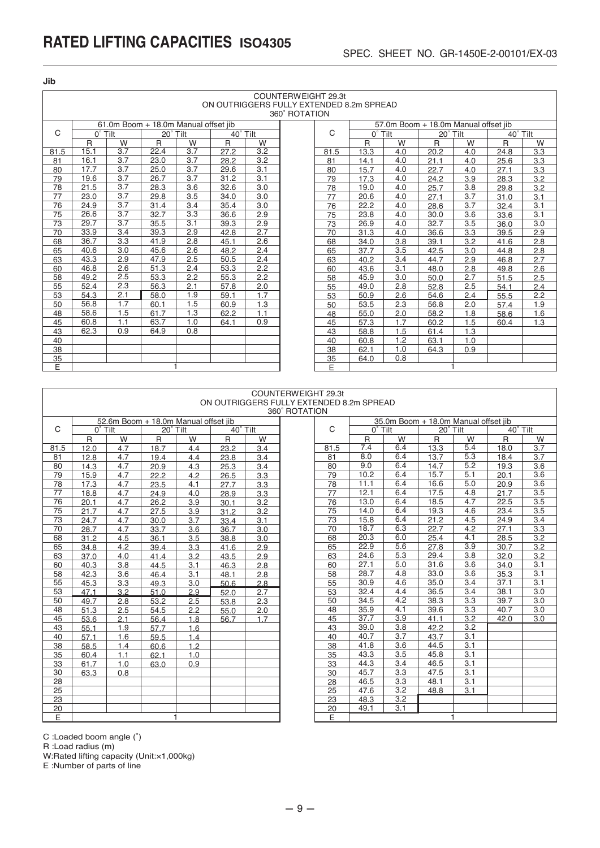| Jib  |                                                                 |                       |                                      |                       |           |                  |               |            |                      |                                      |              |          |              |            |
|------|-----------------------------------------------------------------|-----------------------|--------------------------------------|-----------------------|-----------|------------------|---------------|------------|----------------------|--------------------------------------|--------------|----------|--------------|------------|
|      | COUNTERWEIGHT 29.3t<br>ON OUTRIGGERS FULLY EXTENDED 8.2m SPREAD |                       |                                      |                       |           |                  |               |            |                      |                                      |              |          |              |            |
|      |                                                                 |                       |                                      |                       |           |                  | 360° ROTATION |            |                      |                                      |              |          |              |            |
|      |                                                                 |                       |                                      |                       |           |                  |               |            |                      |                                      |              |          |              |            |
| C    |                                                                 |                       | 61.0m Boom + 18.0m Manual offset iib |                       |           |                  |               | C          |                      | 57.0m Boom + 18.0m Manual offset iib |              |          |              |            |
|      | $0^{\circ}$ Tilt                                                |                       | 20° Tilt                             |                       | 40° Tilt  |                  |               |            | $0^{\circ}$ Tilt     |                                      | 20° Tilt     |          | 40° Tilt     | W          |
| 81.5 | $\mathsf{R}$<br>15.1                                            | W<br>$\overline{3.7}$ | R<br>22.4                            | W<br>$\overline{3.7}$ | R<br>27.2 | W<br>3.2         |               |            | $\mathsf{R}$<br>13.3 | W<br>4.0                             | $\mathsf{R}$ | W<br>4.0 | $\mathsf{R}$ |            |
| 81   | 16.1                                                            | 3.7                   | 23.0                                 | 3.7                   | 28.2      | 3.2              |               | 81.5<br>81 | 14.1                 | 4.0                                  | 20.2<br>21.1 | 4.0      | 24.8<br>25.6 | 3.3<br>3.3 |
| 80   | 17.7                                                            | 3.7                   | 25.0                                 | 3.7                   | 29.6      | 3.1              |               | 80         | 15.7                 | 4.0                                  | 22.7         | 4.0      | 27.1         | 3.3        |
| 79   | 19.6                                                            | $\overline{3.7}$      | 26.7                                 | 3.7                   | 31.2      | 3.1              |               | 79         | 17.3                 | 4.0                                  | 24.2         | 3.9      | 28.3         | 3.2        |
| 78   | 21.5                                                            | $\overline{3.7}$      | 28.3                                 | $\overline{3.6}$      | 32.6      | $\overline{3.0}$ |               | 78         | 19.0                 | 4.0                                  | 25.7         | 3.8      | 29.8         | 3.2        |
| 77   | 23.0                                                            | 3.7                   | 29.8                                 | 3.5                   | 34.0      | 3.0              |               | 77         | 20.6                 | 4.0                                  | 27.1         | 3.7      | 31.0         | 3.1        |
| 76   | 24.9                                                            | $\overline{3.7}$      | 31.4                                 | 3.4                   | 35.4      | $\overline{3.0}$ |               | 76         | 22.2                 | 4.0                                  | 28.6         | 3.7      | 32.4         | 3.1        |
| 75   | 26.6                                                            | 3.7                   | 32.7                                 | 3.3                   | 36.6      | 2.9              |               | 75         | 23.8                 | 4.0                                  | 30.0         | 3.6      | 33.6         | 3.1        |
| 73   | 29.7                                                            | 3.7                   | 35.5                                 | 3.1                   | 39.3      | 2.9              |               | 73         | 26.9                 | 4.0                                  | 32.7         | 3.5      | 36.0         | 3.0        |
| 70   | 33.9                                                            | 3.4                   | 39.3                                 | 2.9                   | 42.8      | 2.7              |               | 70         | 31.3                 | 4.0                                  | 36.6         | 3.3      | 39.5         | 2.9        |
| 68   | 36.7                                                            | 3.3                   | 41.9                                 | 2.8                   | 45.1      | 2.6              |               | 68         | 34.0                 | 3.8                                  | 39.1         | 3.2      | 41.6         | 2.8        |
| 65   | 40.6                                                            | 3.0                   | 45.6                                 | 2.6                   | 48.2      | 2.4              |               | 65         | 37.7                 | 3.5                                  | 42.5         | 3.0      | 44.8         | 2.8        |
| 63   | 43.3                                                            | 2.9                   | 47.9                                 | 2.5                   | 50.5      | 2.4              |               | 63         | 40.2                 | 3.4                                  | 44.7         | 2.9      | 46.8         | 2.7        |
| 60   | 46.8                                                            | 2.6                   | 51.3                                 | 2.4                   | 53.3      | 2.2              |               | 60         | 43.6                 | 3.1                                  | 48.0         | 2.8      | 49.8         | 2.6        |
| 58   | 49.2                                                            | 2.5                   | 53.3                                 | $\overline{2.2}$      | 55.3      | 2.2              |               | 58         | 45.9                 | 3.0                                  | 50.0         | 2.7      | 51.5         | 2.5        |
| 55   | 52.4                                                            | 2.3                   | 56.3                                 | 2.1                   | 57.8      | 2.0              |               | 55         | 49.0                 | 2.8                                  | 52.8         | 2.5      | 54.1         | 2.4        |
| 53   | 54.3                                                            | 2.1                   | 58.0                                 | 1.9                   | 59.1      | 1.7              |               | 53         | 50.9                 | 2.6                                  | 54.6         | 2.4      | 55.5         | 2.2        |
| 50   | 56.8                                                            | 1.7                   | 60.1                                 | 1.5                   | 60.9      | 1.3              |               | 50         | 53.5                 | 2.3                                  | 56.8         | 2.0      | 57.4         | 1.9        |
| 48   | 58.6                                                            | 1.5                   | 61.7                                 | 1.3                   | 62.2      | 1.1              |               | 48         | 55.0                 | 2.0                                  | 58.2         | 1.8      | 58.6         | 1.6        |
| 45   | 60.8                                                            | 1.1                   | 63.7                                 | 1.0                   | 64.1      | 0.9              |               | 45         | 57.3                 | 1.7                                  | 60.2         | 1.5      | 60.4         | 1.3        |
| 43   | 62.3                                                            | 0.9                   | 64.9                                 | 0.8                   |           |                  |               | 43         | 58.8                 | 1.5                                  | 61.4         | 1.3      |              |            |
| 40   |                                                                 |                       |                                      |                       |           |                  |               | 40         | 60.8                 | 1.2                                  | 63.1         | 1.0      |              |            |
| 38   |                                                                 |                       |                                      |                       |           |                  |               | 38         | 62.1                 | 1.0                                  | 64.3         | 0.9      |              |            |
| 35   |                                                                 |                       |                                      |                       |           |                  |               | 35         | 64.0                 | 0.8                                  |              |          |              |            |
| E    |                                                                 |                       |                                      |                       |           |                  |               | E          |                      |                                      |              | 1        |              |            |

#### COUNTERWEIGHT 29.3t ON OUTRIGGERS FULLY EXTENDED 8.2m SPREAD

|      | 360° ROTATION |     |          |                                      |          |     |  |              |                  |                  |          |                                      |          |     |  |
|------|---------------|-----|----------|--------------------------------------|----------|-----|--|--------------|------------------|------------------|----------|--------------------------------------|----------|-----|--|
|      |               |     |          | 52.6m Boom + 18.0m Manual offset jib |          |     |  |              |                  |                  |          | 35.0m Boom + 18.0m Manual offset jib |          |     |  |
| C    | $0°$ Tilt     |     | 20° Tilt |                                      | 40° Tilt |     |  | $\mathsf{C}$ | $0^{\circ}$ Tilt |                  | 20° Tilt |                                      | 40° Tilt |     |  |
|      | R             | W   | R        | W                                    | R        | W   |  |              | $\mathsf{R}$     | W                | R        | W                                    | R        | W   |  |
| 81.5 | 12.0          | 4.7 | 18.7     | 4.4                                  | 23.2     | 3.4 |  | 81.5         | 7.4              | 6.4              | 13.3     | 5.4                                  | 18.0     | 3.7 |  |
| 81   | 12.8          | 4.7 | 19.4     | 4.4                                  | 23.8     | 3.4 |  | 81           | 8.0              | 6.4              | 13.7     | 5.3                                  | 18.4     | 3.7 |  |
| 80   | 14.3          | 4.7 | 20.9     | 4.3                                  | 25.3     | 3.4 |  | 80           | 9.0              | 6.4              | 14.7     | 5.2                                  | 19.3     | 3.6 |  |
| 79   | 15.9          | 4.7 | 22.2     | 4.2                                  | 26.5     | 3.3 |  | 79           | 10.2             | 6.4              | 15.7     | 5.1                                  | 20.1     | 3.6 |  |
| 78   | 17.3          | 4.7 | 23.5     | 4.1                                  | 27.7     | 3.3 |  | 78           | 11.1             | 6.4              | 16.6     | 5.0                                  | 20.9     | 3.6 |  |
| 77   | 18.8          | 4.7 | 24.9     | 4.0                                  | 28.9     | 3.3 |  | 77           | 12.1             | 6.4              | 17.5     | 4.8                                  | 21.7     | 3.5 |  |
| 76   | 20.1          | 4.7 | 26.2     | 3.9                                  | 30.1     | 3.2 |  | 76           | 13.0             | 6.4              | 18.5     | 4.7                                  | 22.5     | 3.5 |  |
| 75   | 21.7          | 4.7 | 27.5     | 3.9                                  | 31.2     | 3.2 |  | 75           | 14.0             | 6.4              | 19.3     | 4.6                                  | 23.4     | 3.5 |  |
| 73   | 24.7          | 4.7 | 30.0     | 3.7                                  | 33.4     | 3.1 |  | 73           | 15.8             | 6.4              | 21.2     | 4.5                                  | 24.9     | 3.4 |  |
| 70   | 28.7          | 4.7 | 33.7     | 3.6                                  | 36.7     | 3.0 |  | 70           | 18.7             | 6.3              | 22.7     | 4.2                                  | 27.1     | 3.3 |  |
| 68   | 31.2          | 4.5 | 36.1     | 3.5                                  | 38.8     | 3.0 |  | 68           | 20.3             | 6.0              | 25.4     | 4.1                                  | 28.5     | 3.2 |  |
| 65   | 34.8          | 4.2 | 39.4     | 3.3                                  | 41.6     | 2.9 |  | 65           | 22.9             | 5.6              | 27.8     | 3.9                                  | 30.7     | 3.2 |  |
| 63   | 37.0          | 4.0 | 41.4     | 3.2                                  | 43.5     | 2.9 |  | 63           | 24.6             | 5.3              | 29.4     | 3.8                                  | 32.0     | 3.2 |  |
| 60   | 40.3          | 3.8 | 44.5     | 3.1                                  | 46.3     | 2.8 |  | 60           | 27.1             | 5.0              | 31.6     | 3.6                                  | 34.0     | 3.1 |  |
| 58   | 42.3          | 3.6 | 46.4     | 3.1                                  | 48.1     | 2.8 |  | 58           | 28.7             | 4.8              | 33.0     | 3.6                                  | 35.3     | 3.1 |  |
| 55   | 45.3          | 3.3 | 49.3     | 3.0                                  | 50.6     | 2.8 |  | 55           | 30.9             | 4.6              | 35.0     | 3.4                                  | 37.1     | 3.1 |  |
| 53   | 47.1          | 3.2 | 51.0     | 2.9                                  | 52.0     | 2.7 |  | 53           | 32.4             | 4.4              | 36.5     | 3.4                                  | 38.1     | 3.0 |  |
| 50   | 49.7          | 2.8 | 53.2     | 2.5                                  | 53.8     | 2.3 |  | 50           | 34.5             | 4.2              | 38.3     | 3.3                                  | 39.7     | 3.0 |  |
| 48   | 51.3          | 2.5 | 54.5     | 2.2                                  | 55.0     | 2.0 |  | 48           | 35.9             | 4.1              | 39.6     | 3.3                                  | 40.7     | 3.0 |  |
| 45   | 53.6          | 2.1 | 56.4     | 1.8                                  | 56.7     | 1.7 |  | 45           | 37.7             | 3.9              | 41.1     | 3.2                                  | 42.0     | 3.0 |  |
| 43   | 55.1          | 1.9 | 57.7     | 1.6                                  |          |     |  | 43           | 39.0             | 3.8              | 42.2     | 3.2                                  |          |     |  |
| 40   | 57.1          | 1.6 | 59.5     | 1.4                                  |          |     |  | 40           | 40.7             | 3.7              | 43.7     | 3.1                                  |          |     |  |
| 38   | 58.5          | 1.4 | 60.6     | 1.2                                  |          |     |  | 38           | 41.8             | 3.6              | 44.5     | 3.1                                  |          |     |  |
| 35   | 60.4          | 1.1 | 62.1     | 1.0                                  |          |     |  | 35           | 43.3             | 3.5              | 45.8     | 3.1                                  |          |     |  |
| 33   | 61.7          | 1.0 | 63.0     | 0.9                                  |          |     |  | 33           | 44.3             | 3.4              | 46.5     | 3.1                                  |          |     |  |
| 30   | 63.3          | 0.8 |          |                                      |          |     |  | 30           | 45.7             | $\overline{3.3}$ | 47.5     | 3.1                                  |          |     |  |
| 28   |               |     |          |                                      |          |     |  | 28           | 46.5             | 3.3              | 48.1     | 3.1                                  |          |     |  |
| 25   |               |     |          |                                      |          |     |  | 25           | 47.6             | 3.2              | 48.8     | 3.1                                  |          |     |  |
| 23   |               |     |          |                                      |          |     |  | 23           | 48.3             | 3.2              |          |                                      |          |     |  |
| 20   |               |     |          |                                      |          |     |  | 20           | 49.1             | 3.1              |          |                                      |          |     |  |
| Έ    |               |     |          | 1                                    |          |     |  | E            |                  |                  |          | $\mathbf{1}$                         |          |     |  |

C :Loaded boom angle (˚)

R :Load radius (m)

W:Rated lifting capacity (Unit:×1,000kg)

E :Number of parts of line

 $-9-$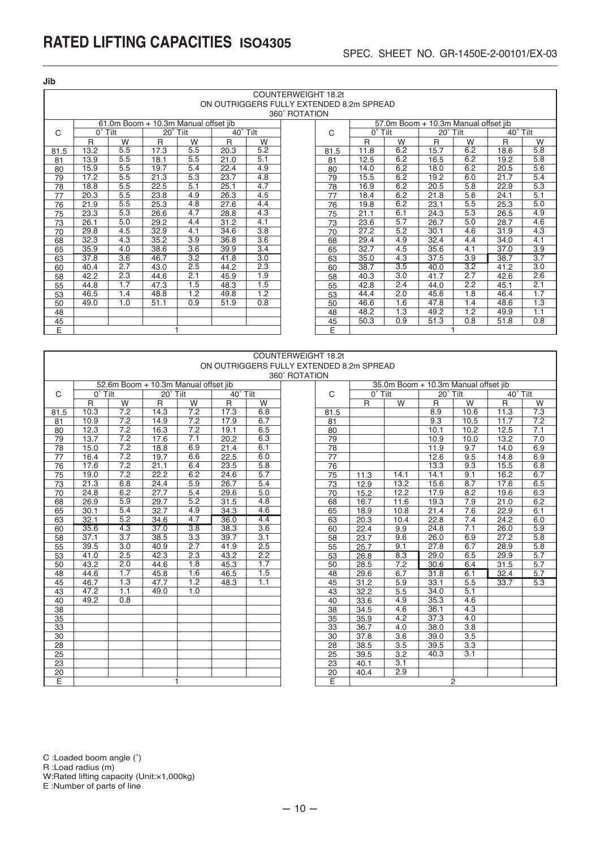**Jib**

|      |                  |     |                                      |     |                                          |                  | <b>COUNTERWEIGHT 18.2t</b> |      |                             |     |                                      |     |                            |                  |
|------|------------------|-----|--------------------------------------|-----|------------------------------------------|------------------|----------------------------|------|-----------------------------|-----|--------------------------------------|-----|----------------------------|------------------|
|      |                  |     |                                      |     | ON OUTRIGGERS FULLY EXTENDED 8.2m SPREAD |                  |                            |      |                             |     |                                      |     |                            |                  |
|      |                  |     |                                      |     |                                          |                  | 360° ROTATION              |      |                             |     |                                      |     |                            |                  |
|      |                  |     | 61.0m Boom + 10.3m Manual offset jib |     |                                          |                  |                            |      |                             |     | 57.0m Boom + 10.3m Manual offset jib |     |                            |                  |
| C    | $0^{\circ}$ Tilt |     | 20° Tilt                             |     | 40° Tilt                                 |                  |                            | C    | $\overline{0}^{\circ}$ Tilt |     | 20° Tilt                             |     | $\overline{40^\circ}$ Tilt |                  |
|      | $\mathsf{R}$     | W   | R                                    | W   | R                                        | W                |                            |      | R                           | W   | $\mathsf{R}$                         | W   | $\mathsf{R}$               | W                |
| 81.5 | 13.2             | 5.5 | 17.3                                 | 5.5 | 20.3                                     | 5.2              |                            | 81.5 | 11.8                        | 6.2 | 15.7                                 | 6.2 | 18.6                       | 5.8              |
| 81   | 13.9             | 5.5 | 18.1                                 | 5.5 | 21.0                                     | 5.1              |                            | 81   | 12.5                        | 6.2 | 16.5                                 | 6.2 | 19.2                       | 5.8              |
| 80   | 15.9             | 5.5 | 19.7                                 | 5.4 | 22.4                                     | 4.9              |                            | 80   | 14.0                        | 6.2 | 18.0                                 | 6.2 | 20.5                       | 5.6              |
| 79   | 17.2             | 5.5 | 21.3                                 | 5.3 | 23.7                                     | 4.8              |                            | 79   | 15.5                        | 6.2 | 19.2                                 | 6.0 | 21.7                       | 5.4              |
| 78   | 18.8             | 5.5 | 22.5                                 | 5.1 | 25.1                                     | 4.7              |                            | 78   | 16.9                        | 6.2 | 20.5                                 | 5.8 | 22.9                       | 5.3              |
| 77   | 20.3             | 5.5 | 23.8                                 | 4.9 | 26.3                                     | 4.5              |                            | 77   | 18.4                        | 6.2 | 21.8                                 | 5.6 | 24.1                       | 5.1              |
| 76   | 21.9             | 5.5 | 25.3                                 | 4.8 | 27.6                                     | 4.4              |                            | 76   | 19.8                        | 6.2 | 23.1                                 | 5.5 | 25.3                       | 5.0              |
| 75   | 23.3             | 5.3 | 26.6                                 | 4.7 | 28.8                                     | 4.3              |                            | 75   | 21.1                        | 6.1 | 24.3                                 | 5.3 | 26.5                       | 4.9              |
| 73   | 26.1             | 5.0 | 29.2                                 | 4.4 | 31.2                                     | 4.1              |                            | 73   | 23.6                        | 5.7 | 26.7                                 | 5.0 | 28.7                       | 4.6              |
| 70   | 29.8             | 4.5 | 32.9                                 | 4.1 | 34.6                                     | $\overline{3.8}$ |                            | 70   | 27.2                        | 5.2 | 30.1                                 | 4.6 | 31.9                       | 4.3              |
| 68   | 32.3             | 4.3 | 35.2                                 | 3.9 | 36.8                                     | 3.6              |                            | 68   | 29.4                        | 4.9 | 32.4                                 | 4.4 | 34.0                       | 4.1              |
| 65   | 35.9             | 4.0 | 38.6                                 | 3.6 | 39.9                                     | 3.4              |                            | 65   | 32.7                        | 4.5 | 35.6                                 | 4.1 | 37.0                       | 3.9              |
| 63   | 37.8             | 3.6 | 46.7                                 | 3.2 | 41.8                                     | 3.0              |                            | 63   | 35.0                        | 4.3 | 37.5                                 | 3.9 | 38.7                       | 3.7              |
| 60   | 40.4             | 2.7 | 43.0                                 | 2.5 | 44.2                                     | 2.3              |                            | 60   | 38.7                        | 3.5 | 40.0                                 | 3.2 | 41.2                       | $\overline{3.0}$ |
| 58   | 42.2             | 2.3 | 44.6                                 | 2.1 | 45.9                                     | 1.9              |                            | 58   | 40.3                        | 3.0 | 41.7                                 | 2.7 | 42.6                       | 2.6              |
| 55   | 44.8             | 1.7 | 47.3                                 | 1.5 | 48.3                                     | 1.5              |                            | 55   | 42.8                        | 2.4 | 44.0                                 | 2.2 | 45.1                       | 2.1              |
| 53   | 46.5             | 1.4 | 48.8                                 | 1.2 | 49.8                                     | 1.2              |                            | 53   | 44.4                        | 2.0 | 45.6                                 | 1.8 | 46.4                       | 1.7              |
| 50   | 49.0             | 1.0 | 51.1                                 | 0.9 | 51.9                                     | 0.8              |                            | 50   | 46.6                        | 1.6 | 47.8                                 | 1.4 | 48.6                       | 1.3              |
| 48   |                  |     |                                      |     |                                          |                  |                            | 48   | 48.2                        | 1.3 | 49.2                                 | 1.2 | 49.9                       | 1.1              |
| 45   |                  |     |                                      |     |                                          |                  |                            | 45   | 50.3                        | 0.9 | 51.3                                 | 0.8 | 51.8                       | 0.8              |
| E    |                  |     |                                      |     |                                          |                  | E                          |      |                             |     |                                      |     |                            |                  |

|                 | <b>COUNTERWEIGHT 18.2t</b><br>ON OUTRIGGERS FULLY EXTENDED 8.2m SPREAD |                  |                                      |                  |          |                  |               |                 |                  |                  |              |                                      |          |                  |
|-----------------|------------------------------------------------------------------------|------------------|--------------------------------------|------------------|----------|------------------|---------------|-----------------|------------------|------------------|--------------|--------------------------------------|----------|------------------|
|                 |                                                                        |                  |                                      |                  |          |                  |               |                 |                  |                  |              |                                      |          |                  |
|                 |                                                                        |                  |                                      |                  |          |                  | 360° ROTATION |                 |                  |                  |              |                                      |          |                  |
|                 |                                                                        |                  | 52.6m Boom + 10.3m Manual offset iib |                  |          |                  |               |                 |                  |                  |              | 35.0m Boom + 10.3m Manual offset jib |          |                  |
| C               | $0^{\circ}$ Tilt                                                       |                  | 20° Tilt                             |                  | 40° Tilt |                  |               | C               | $0^{\circ}$ Tilt |                  | 20° Tilt     |                                      | 40° Tilt |                  |
|                 | R.                                                                     | W                | R                                    | W                | R        | W                |               |                 | R                | W                | $\mathsf{R}$ | W                                    | R        | W                |
| 81.5            | 10.3                                                                   | 7.2              | 14.3                                 | 7.2              | 17.3     | 6.8              |               | 81.5            |                  |                  | 8.9          | 10.6                                 | 11.3     | $\overline{7.3}$ |
| 81              | 10.9                                                                   | 7.2              | 14.9                                 | 7.2              | 17.9     | 6.7              |               | 81              |                  |                  | 9.3          | 10.5                                 | 11.7     | 7.2              |
| 80              | 12.3                                                                   | 7.2              | 16.3                                 | 7.2              | 19.1     | 6.5              |               | 80              |                  |                  | 10.1         | 10.2                                 | 12.5     | 7.1              |
| 79              | 13.7                                                                   | 7.2              | 17.6                                 | 7.1              | 20.2     | 6.3              |               | 79              |                  |                  | 10.9         | 10.0                                 | 13.2     | 7.0              |
| 78              | 15.0                                                                   | 7.2              | 18.8                                 | 6.9              | 21.4     | 6.1              |               | 78              |                  |                  | 11.9         | 9.7                                  | 14.0     | 6.9              |
| $\overline{77}$ | 16.4                                                                   | 7.2              | 19.7                                 | 6.6              | 22.5     | 6.0              |               | $\overline{77}$ |                  |                  | 12.6         | 9.5                                  | 14.8     | 6.9              |
| 76              | 17.6                                                                   | 7.2              | 21.1                                 | 6.4              | 23.5     | 5.8              |               | 76              |                  |                  | 13.3         | 9.3                                  | 15.5     | 6.8              |
| 75              | 19.0                                                                   | 7.2              | 22.2                                 | 6.2              | 24.6     | 5.7              |               | 75              | 11.3             | 14.1             | 14.1         | 9.1                                  | 16.2     | 6.7              |
| 73              | 21.3                                                                   | 6.8              | 24.4                                 | 5.9              | 26.7     | 5.4              |               | $\overline{73}$ | 12.9             | 13.2             | 15.6         | 8.7                                  | 17.6     | 6.5              |
| 70              | 24.8                                                                   | 6.2              | 27.7                                 | 5.4              | 29.6     | 5.0              |               | 70              | 15.2             | 12.2             | 17.9         | 8.2                                  | 19.6     | 6.3              |
| 68              | 26.9                                                                   | 5.9              | 29.7                                 | 5.2              | 31.5     | 4.8              |               | 68              | 16.7             | 11.6             | 19.3         | 7.9                                  | 21.0     | 6.2              |
| 65              | 30.1                                                                   | 5.4              | 32.7                                 | 4.9              | 34.3     | 4.6              |               | 65              | 18.9             | 10.8             | 21.4         | $\overline{7.6}$                     | 22.9     | 6.1              |
| 63              | 32.1                                                                   | 5.2              | 34.6                                 | 4.7              | 36.0     | 4.4              |               | 63              | 20.3             | 10.4             | 22.8         | 7.4                                  | 24.2     | 6.0              |
| 60              | 35.6                                                                   | 4.3              | 37.0                                 | 3.8              | 38.3     | $\overline{3.6}$ |               | 60              | 22.4             | 9.9              | 24.8         | 7.1                                  | 26.0     | 5.9              |
| 58              | 37.1                                                                   | 3.7              | 38.5                                 | $\overline{3.3}$ | 39.7     | $\overline{3.1}$ |               | 58              | 23.7             | 9.6              | 26.0         | 6.9                                  | 27.2     | $\overline{5.8}$ |
| 55              | 39.5                                                                   | 3.0              | 40.9                                 | 2.7              | 41.9     | 2.5              |               | 55              | 25.7             | 9.1              | 27.8         | 6.7                                  | 28.9     | 5.8              |
| 53              | 41.0                                                                   | 2.5              | 42.3                                 | 2.3              | 43.2     | $\overline{2.2}$ |               | 53              | 26.8             | 8.3              | 29.0         | 6.5                                  | 29.9     | 5.7              |
| 50              | 43.2                                                                   | 2.0              | 44.6                                 | $\overline{1.8}$ | 45.3     | 1.7              |               | 50              | 28.5             | 7.2              | 30.6         | 6.4                                  | 31.5     | 5.7              |
| 48              | 44.6                                                                   | 1.7              | 45.8                                 | 1.6              | 46.5     | 1.5              |               | 48              | 29.6             | 6.7              | 31.8         | 6.1                                  | 32.4     | 5.7              |
| 45              | 46.7                                                                   | $\overline{1.3}$ | 47.7                                 | $\overline{1.2}$ | 48.3     | 1.1              |               | 45              | 31.2             | 5.9              | 33.1         | 5.5                                  | 33.7     | 5.3              |
| 43              | 47.2                                                                   | 1.1              | 49.0                                 | 1.0              |          |                  |               | 43              | 32.2             | 5.5              | 34.0         | 5.1                                  |          |                  |
| 40              | 49.2                                                                   | 0.8              |                                      |                  |          |                  |               | 40              | 33.6             | 4.9              | 35.3         | 4.6                                  |          |                  |
| 38              |                                                                        |                  |                                      |                  |          |                  |               | 38              | 34.5             | 4.6              | 36.1         | 4.3                                  |          |                  |
| 35              |                                                                        |                  |                                      |                  |          |                  |               | 35              | 35.9             | 4.2              | 37.3         | 4.0                                  |          |                  |
| 33              |                                                                        |                  |                                      |                  |          |                  |               | 33              | 36.7             | 4.0              | 38.0         | 3.8                                  |          |                  |
| $\overline{30}$ |                                                                        |                  |                                      |                  |          |                  |               | $\overline{30}$ | 37.8             | $\overline{3.6}$ | 39.0         | 3.5                                  |          |                  |
| 28              |                                                                        |                  |                                      |                  |          |                  |               | 28              | 38.5             | $\overline{3.5}$ | 39.5         | $\overline{3.3}$                     |          |                  |
| 25              |                                                                        |                  |                                      |                  |          |                  |               | 25              | 39.5             | $\overline{3.2}$ | 40.3         | 3.1                                  |          |                  |
| $\overline{23}$ |                                                                        |                  |                                      |                  |          |                  |               | $\overline{23}$ | 40.1             | 3.1              |              |                                      |          |                  |
| $\overline{20}$ |                                                                        |                  |                                      |                  |          |                  |               | $\overline{20}$ | 40.4             | 2.9              |              |                                      |          |                  |
| E               |                                                                        |                  |                                      |                  |          |                  |               | E               |                  |                  |              | $\overline{2}$                       |          |                  |

C :Loaded boom angle (˚)

R :Load radius (m)

E

W:Rated lifting capacity (Unit:×1,000kg)

E :Number of parts of line

E 1 2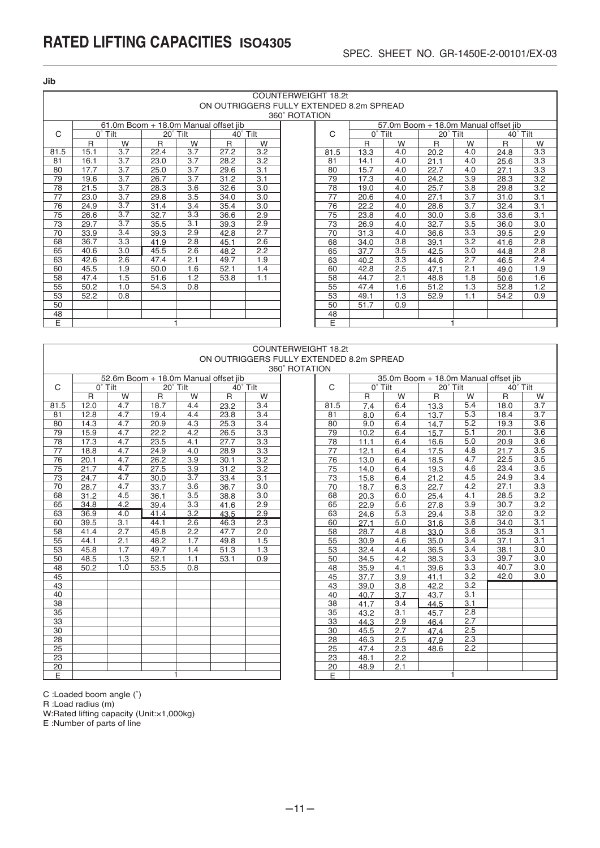**Jib**

|      |      |                  |                                      |                  |      |          | <b>COUNTERWEIGHT 18.2t</b>               |      |           |                  |          |     |                                      |     |
|------|------|------------------|--------------------------------------|------------------|------|----------|------------------------------------------|------|-----------|------------------|----------|-----|--------------------------------------|-----|
|      |      |                  |                                      |                  |      |          | ON OUTRIGGERS FULLY EXTENDED 8.2m SPREAD |      |           |                  |          |     |                                      |     |
|      |      |                  |                                      |                  |      |          | 360° ROTATION                            |      |           |                  |          |     |                                      |     |
|      |      |                  | 61.0m Boom + 18.0m Manual offset iib |                  |      |          |                                          |      |           |                  |          |     | 57.0m Boom + 18.0m Manual offset iib |     |
| C    |      | $0°$ Tilt        |                                      | 20° Tilt         |      | 40° Tilt |                                          | C    | $0°$ Tilt |                  | 20° Tilt |     | 40° Tilt                             |     |
|      | R    | W                | R                                    | W                | R    | W        |                                          |      | R         | W                | R        | W   | R                                    | W   |
| 81.5 | 15.1 | $\overline{3.7}$ | 22.4                                 | 3.7              | 27.2 | 3.2      |                                          | 81.5 | 13.3      | 4.0              | 20.2     | 4.0 | 24.8                                 | 3.3 |
| 81   | 16.1 | $\overline{3.7}$ | 23.0                                 | $\overline{3.7}$ | 28.2 | 3.2      |                                          | 81   | 14.1      | 4.0              | 21.1     | 4.0 | 25.6                                 | 3.3 |
| 80   | 17.7 | 3.7              | 25.0                                 | 3.7              | 29.6 | 3.1      |                                          | 80   | 15.7      | 4.0              | 22.7     | 4.0 | 27.1                                 | 3.3 |
| 79   | 19.6 | $\overline{3.7}$ | 26.7                                 | $\overline{3.7}$ | 31.2 | 3.1      |                                          | 79   | 17.3      | 4.0              | 24.2     | 3.9 | 28.3                                 | 3.2 |
| 78   | 21.5 | 3.7              | 28.3                                 | 3.6              | 32.6 | 3.0      |                                          | 78   | 19.0      | 4.0              | 25.7     | 3.8 | 29.8                                 | 3.2 |
| 77   | 23.0 | 3.7              | 29.8                                 | 3.5              | 34.0 | 3.0      |                                          | 77   | 20.6      | 4.0              | 27.1     | 3.7 | 31.0                                 | 3.1 |
| 76   | 24.9 | $\overline{3.7}$ | 31.4                                 | 3.4              | 35.4 | 3.0      |                                          | 76   | 22.2      | 4.0              | 28.6     | 3.7 | 32.4                                 | 3.1 |
| 75   | 26.6 | 3.7              | 32.7                                 | 3.3              | 36.6 | 2.9      |                                          | 75   | 23.8      | 4.0              | 30.0     | 3.6 | 33.6                                 | 3.1 |
| 73   | 29.7 | 3.7              | 35.5                                 | 3.1              | 39.3 | 2.9      |                                          | 73   | 26.9      | 4.0              | 32.7     | 3.5 | 36.0                                 | 3.0 |
| 70   | 33.9 | 3.4              | 39.3                                 | 2.9              | 42.8 | 2.7      |                                          | 70   | 31.3      | 4.0              | 36.6     | 3.3 | 39.5                                 | 2.9 |
| 68   | 36.7 | 3.3              | 41.9                                 | 2.8              | 45.1 | 2.6      |                                          | 68   | 34.0      | 3.8              | 39.1     | 3.2 | 41.6                                 | 2.8 |
| 65   | 40.6 | 3.0              | 45.5                                 | 2.6              | 48.2 | 2.2      |                                          | 65   | 37.7      | 3.5              | 42.5     | 3.0 | 44.8                                 | 2.8 |
| 63   | 42.6 | 2.6              | 47.4                                 | 2.1              | 49.7 | 1.9      |                                          | 63   | 40.2      | $\overline{3.3}$ | 44.6     | 2.7 | 46.5                                 | 2.4 |
| 60   | 45.5 | 1.9              | 50.0                                 | 1.6              | 52.1 | 1.4      |                                          | 60   | 42.8      | 2.5              | 47.1     | 2.1 | 49.0                                 | 1.9 |
| 58   | 47.4 | 1.5              | 51.6                                 | 1.2              | 53.8 | 1.1      |                                          | 58   | 44.7      | 2.1              | 48.8     | 1.8 | 50.6                                 | 1.6 |
| 55   | 50.2 | 1.0              | 54.3                                 | 0.8              |      |          |                                          | 55   | 47.4      | 1.6              | 51.2     | 1.3 | 52.8                                 | 1.2 |
| 53   | 52.2 | 0.8              |                                      |                  |      |          |                                          | 53   | 49.1      | 1.3              | 52.9     | 1.1 | 54.2                                 | 0.9 |
| 50   |      |                  |                                      |                  |      |          |                                          | 50   | 51.7      | 0.9              |          |     |                                      |     |
| 48   |      |                  |                                      |                  |      |          |                                          | 48   |           |                  |          |     |                                      |     |
| E    |      |                  |                                      |                  |      |          | Ε                                        |      |           |                  |          |     |                                      |     |

#### ON OUTRIGGERS FULLY EXTENDED 8.2m SPREAD COUNTERWEIGHT 18.2t 360˚ ROTATION

|      |                   |                  |                                      |                  |                   | ∪∪ເ              |
|------|-------------------|------------------|--------------------------------------|------------------|-------------------|------------------|
|      |                   |                  | 52.6m Boom + 18.0m Manual offset jib |                  |                   |                  |
| C    | $0^{\circ}$       | Tilt             | 20° Tilt                             |                  | 40° Tilt          |                  |
|      | R                 | W                | R                                    | W                | R                 | W                |
| 81.5 | 12.0              | 4.7              | 18.7                                 | 4.4              | 23.2              | 3.4              |
| 81   | 12.8              | 4.7              | 19.4                                 | 4.4              | $23.\overline{8}$ | 3.4              |
| 80   | $14.\overline{3}$ | 4.7              | 20.9                                 | 4.3              | 25.3              | 3.4              |
| 79   | 15.9              | 4.7              | 22.2                                 | 4.2              | 26.5              | 3.3              |
| 78   | 17.3              | 4.7              | 23.5                                 | $\overline{4.1}$ | 27.7              | $\overline{3.3}$ |
| 77   | 18.8              | 4.7              | 24.9                                 | 4.0              | 28.9              | $\overline{3.3}$ |
| 76   | 20.1              | 4.7              | 26.2                                 | $\overline{3.9}$ | 30.1              | 3.2              |
| 75   | 21.7              | 4.7              | 27.5                                 | 3.9              | 31.2              | $\overline{3.2}$ |
| 73   | 24.7              | 4.7              | 30.0                                 | $\overline{3.7}$ | 33.4              | $\overline{3.1}$ |
| 70   | 28.7              | 4.7              | 33.7                                 | 3.6              | 36.7              | 3.0              |
| 68   | 31.2              | 4.5              | 36.1                                 | $\overline{3.5}$ | 38.8              | $\overline{3.0}$ |
| 65   | 34.8              | $\overline{4.2}$ | 39.4                                 | 3.3              | 41.6              | 2.9              |
| 63   | 36.9              | 4.0              | 41.4                                 | 3.2              | 43.5              | 2.9              |
| 60   | 39.5              | 3.1              | 44.1                                 | 2.6              | 46.3              | 2.3              |
| 58   | 41.4              | 2.7              | 45.8                                 | 2.2              | 47.7              | 2.0              |
| 55   | 44.1              | 2.1              | 48.2                                 | 1.7              | 49.8              | 1.5              |
| 53   | 45.8              | 1.7              | 49.7                                 | 1.4              | 51.3              | 1.3              |
| 50   | 48.5              | 1.3              | 52.1                                 | 1.1              | 53.1              | 0.9              |
| 48   | 50.2              | 1.0              | 53.5                                 | 0.8              |                   |                  |
| 45   |                   |                  |                                      |                  |                   |                  |
| 43   |                   |                  |                                      |                  |                   |                  |
| 40   |                   |                  |                                      |                  |                   |                  |
| 38   |                   |                  |                                      |                  |                   |                  |
| 35   |                   |                  |                                      |                  |                   |                  |
| 33   |                   |                  |                                      |                  |                   |                  |
| 30   |                   |                  |                                      |                  |                   |                  |
| 28   |                   |                  |                                      |                  |                   |                  |
| 25   |                   |                  |                                      |                  |                   |                  |
| 23   |                   |                  |                                      |                  |                   |                  |
| 20   |                   |                  |                                      |                  |                   |                  |
| E    |                   |                  | 1                                    |                  |                   |                  |

|     |                                                            |              |                                                   |                                      |                                                                 | C    |                                                                                                       |                      |                                                                   |     | 40° Tilt                                                                                                                                                                            |                                                                                              |
|-----|------------------------------------------------------------|--------------|---------------------------------------------------|--------------------------------------|-----------------------------------------------------------------|------|-------------------------------------------------------------------------------------------------------|----------------------|-------------------------------------------------------------------|-----|-------------------------------------------------------------------------------------------------------------------------------------------------------------------------------------|----------------------------------------------------------------------------------------------|
| W   | $\mathsf{R}$                                               | W            | $\mathsf{R}$                                      | W                                    |                                                                 |      | $\mathsf{R}$                                                                                          | W                    | $\mathsf{R}$                                                      | W   | $\mathsf{R}$                                                                                                                                                                        | W                                                                                            |
| 4.7 | 18.7                                                       | 4.4          | 23.2                                              | 3.4                                  |                                                                 | 81.5 | 7.4                                                                                                   | 6.4                  | 13.3                                                              | 5.4 | 18.0                                                                                                                                                                                | $\overline{3.7}$                                                                             |
| 4.7 | 19.4                                                       | 4.4          | 23.8                                              | 3.4                                  |                                                                 | 81   | 8.0                                                                                                   | 6.4                  | 13.7                                                              | 5.3 | 18.4                                                                                                                                                                                | 3.7                                                                                          |
| 4.7 | 20.9                                                       | 4.3          | 25.3                                              | 3.4                                  |                                                                 | 80   | 9.0                                                                                                   | 6.4                  | 14.7                                                              | 5.2 | 19.3                                                                                                                                                                                | $\overline{3.6}$                                                                             |
| 4.7 | 22.2                                                       | 4.2          | 26.5                                              | 3.3                                  |                                                                 | 79   | 10.2                                                                                                  | 6.4                  | 15.7                                                              | 5.1 | 20.1                                                                                                                                                                                | 3.6                                                                                          |
| 4.7 | 23.5                                                       | 4.1          | 27.7                                              | 3.3                                  |                                                                 | 78   | 11.1                                                                                                  | 6.4                  | 16.6                                                              | 5.0 | 20.9                                                                                                                                                                                | 3.6                                                                                          |
| 4.7 | 24.9                                                       | 4.0          | 28.9                                              | 3.3                                  |                                                                 |      | 12.1                                                                                                  | 6.4                  | 17.5                                                              |     | 21.7                                                                                                                                                                                | $\overline{3.5}$                                                                             |
| 4.7 | 26.2                                                       |              | 30.1                                              |                                      |                                                                 |      | 13.0                                                                                                  | 6.4                  | 18.5                                                              |     | 22.5                                                                                                                                                                                | 3.5                                                                                          |
| 4.7 | 27.5                                                       | 3.9          | 31.2                                              |                                      |                                                                 |      | 14.0                                                                                                  | 6.4                  | 19.3                                                              |     | 23.4                                                                                                                                                                                | 3.5                                                                                          |
|     | 30.0                                                       |              | 33.4                                              |                                      |                                                                 |      | 15.8                                                                                                  | 6.4                  | 21.2                                                              |     |                                                                                                                                                                                     | $\overline{3.4}$                                                                             |
| 4.7 | 33.7                                                       | 3.6          | 36.7                                              | 3.0                                  |                                                                 | 70   | 18.7                                                                                                  | 6.3                  | 22.7                                                              |     | 27.1                                                                                                                                                                                | 3.3                                                                                          |
| 4.5 | 36.1                                                       | 3.5          | 38.8                                              | 3.0                                  |                                                                 | 68   | 20.3                                                                                                  | 6.0                  | 25.4                                                              | 4.1 | 28.5                                                                                                                                                                                | 3.2                                                                                          |
| 4.2 | 39.4                                                       | 3.3          | 41.6                                              | 2.9                                  |                                                                 | 65   | 22.9                                                                                                  | 5.6                  | 27.8                                                              | 3.9 | 30.7                                                                                                                                                                                | 3.2                                                                                          |
| 4.0 | 41.4                                                       | 3.2          | 43.5                                              |                                      |                                                                 |      | 24.6                                                                                                  |                      | 29.4                                                              |     | 32.0                                                                                                                                                                                | $\overline{3.2}$                                                                             |
| 3.1 | 44.1                                                       | 2.6          | 46.3                                              | 2.3                                  |                                                                 | 60   | 27.1                                                                                                  | 5.0                  | 31.6                                                              |     | 34.0                                                                                                                                                                                | 3.1                                                                                          |
|     |                                                            | 2.2          | 47.7                                              | 2.0                                  |                                                                 | 58   |                                                                                                       | 4.8                  | 33.0                                                              |     |                                                                                                                                                                                     | 3.1                                                                                          |
|     | 48.2                                                       |              | 49.8                                              | 1.5                                  |                                                                 | 55   | 30.9                                                                                                  | 4.6                  | 35.0                                                              |     |                                                                                                                                                                                     | 3.1                                                                                          |
|     | 49.7                                                       | 1.4          | 51.3                                              |                                      |                                                                 |      | 32.4                                                                                                  | 4.4                  | 36.5                                                              |     |                                                                                                                                                                                     | 3.0                                                                                          |
|     | 52.1                                                       |              | 53.1                                              |                                      |                                                                 |      | 34.5                                                                                                  |                      | 38.3                                                              |     |                                                                                                                                                                                     | 3.0                                                                                          |
|     |                                                            | 0.8          |                                                   |                                      |                                                                 |      | 35.9                                                                                                  |                      | 39.6                                                              |     |                                                                                                                                                                                     | 3.0                                                                                          |
|     |                                                            |              |                                                   |                                      |                                                                 |      |                                                                                                       |                      | 41.1                                                              |     |                                                                                                                                                                                     | 3.0                                                                                          |
|     |                                                            |              |                                                   |                                      |                                                                 | 43   | 39.0                                                                                                  | 3.8                  | 42.2                                                              |     |                                                                                                                                                                                     |                                                                                              |
|     |                                                            |              |                                                   |                                      |                                                                 |      |                                                                                                       |                      | 43.7                                                              |     |                                                                                                                                                                                     |                                                                                              |
|     |                                                            |              |                                                   |                                      |                                                                 | 38   | 41.7                                                                                                  | 3.4                  | 44.5                                                              |     |                                                                                                                                                                                     |                                                                                              |
|     |                                                            |              |                                                   |                                      |                                                                 |      | 43.2                                                                                                  |                      | 45.7                                                              |     |                                                                                                                                                                                     |                                                                                              |
|     |                                                            |              |                                                   |                                      |                                                                 |      | 44.3                                                                                                  |                      | 46.4                                                              |     |                                                                                                                                                                                     |                                                                                              |
|     |                                                            |              |                                                   |                                      |                                                                 | 30   | 45.5                                                                                                  |                      | 47.4                                                              |     |                                                                                                                                                                                     |                                                                                              |
|     |                                                            |              |                                                   |                                      |                                                                 | 28   | 46.3                                                                                                  | 2.5                  | 47.9                                                              |     |                                                                                                                                                                                     |                                                                                              |
|     |                                                            |              |                                                   |                                      |                                                                 | 25   | 47.4                                                                                                  | 2.3                  | 48.6                                                              | 2.2 |                                                                                                                                                                                     |                                                                                              |
|     |                                                            |              |                                                   |                                      |                                                                 | 23   | 48.1                                                                                                  | 2.2                  |                                                                   |     |                                                                                                                                                                                     |                                                                                              |
|     |                                                            |              |                                                   |                                      |                                                                 | 20   | 48.9                                                                                                  | 2.1                  |                                                                   |     |                                                                                                                                                                                     |                                                                                              |
|     |                                                            |              |                                                   |                                      |                                                                 | E    |                                                                                                       |                      |                                                                   |     |                                                                                                                                                                                     |                                                                                              |
|     | $0^{\circ}$ Tilt<br>4.7<br>2.7<br>2.1<br>1.7<br>1.3<br>1.0 | 45.8<br>53.5 | 20° Tilt<br>$\overline{3.9}$<br>3.7<br>1.7<br>1.1 | 52.6m Boom + 18.0m Manual offset jib | 40° Tilt<br>$\overline{3.2}$<br>3.2<br>3.1<br>2.9<br>1.3<br>0.9 |      | <b>PULLATION</b><br>77<br>76<br>75<br>$\overline{73}$<br>63<br>53<br>50<br>48<br>45<br>40<br>35<br>33 | 28.7<br>37.7<br>40.7 | $0°$ Tilt<br>5.3<br>4.2<br>4.1<br>3.9<br>3.7<br>3.1<br>2.9<br>2.7 |     | 20° Tilt<br>4.8<br>4.7<br>4.6<br>4.5<br>$4.\overline{2}$<br>3.8<br>3.6<br>3.6<br>3.4<br>3.4<br>3.3<br>3.3<br>$\overline{3.2}$<br>3.2<br>3.1<br>3.1<br>2.8<br>2.7<br>2.5<br>2.3<br>1 | 35.0m Boom + 18.0m Manual offset jib<br>24.9<br>35.3<br>37.1<br>38.1<br>39.7<br>40.7<br>42.0 |

C :Loaded boom angle (˚)

R :Load radius (m)

W:Rated lifting capacity (Unit:×1,000kg)

E :Number of parts of line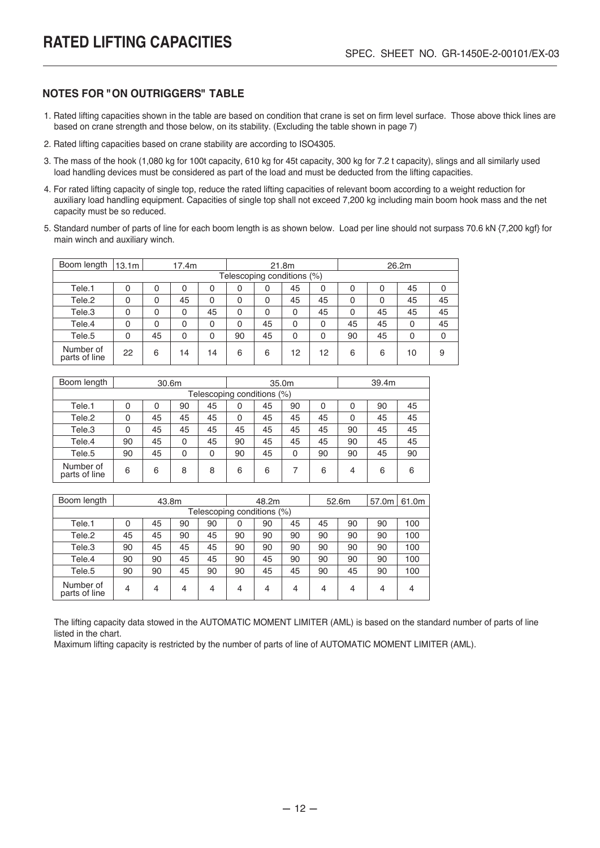#### **NOTES FOR "ON OUTRIGGERS" TABLE**

- 1. Rated lifting capacities shown in the table are based on condition that crane is set on firm level surface. Those above thick lines are based on crane strength and those below, on its stability. (Excluding the table shown in page 7)
- 2. Rated lifting capacities based on crane stability are according to ISO4305.
- 3. The mass of the hook (1,080 kg for 100t capacity, 610 kg for 45t capacity, 300 kg for 7.2 t capacity), slings and all similarly used load handling devices must be considered as part of the load and must be deducted from the lifting capacities.
- 4. For rated lifting capacity of single top, reduce the rated lifting capacities of relevant boom according to a weight reduction for auxiliary load handling equipment. Capacities of single top shall not exceed 7,200 kg including main boom hook mass and the net capacity must be so reduced.
- 5. Standard number of parts of line for each boom length is as shown below. Load per line should not surpass 70.6 kN {7,200 kgf} for main winch and auxiliary winch.

| Boom length                | 13.1m |    | 17.4m<br>21.8m<br>26.2m |    |                            |    |          |    |    |    |          |    |
|----------------------------|-------|----|-------------------------|----|----------------------------|----|----------|----|----|----|----------|----|
|                            |       |    |                         |    | Telescoping conditions (%) |    |          |    |    |    |          |    |
| Tele.1                     | 0     | 0  | 0                       | 0  | 0                          | 0  | 45       | 0  | 0  | 0  | 45       | 0  |
| Tele <sub>.2</sub>         | 0     | 0  | 45                      | 0  | 0                          | 0  | 45       | 45 | 0  | 0  | 45       | 45 |
| Tele.3                     | 0     | 0  | 0                       | 45 | 0                          | 0  | 0        | 45 | 0  | 45 | 45       | 45 |
| Tele.4                     | 0     | 0  | 0                       | 0  | 0                          | 45 | 0        | 0  | 45 | 45 | $\Omega$ | 45 |
| Tele.5                     | 0     | 45 | 0                       | 0  | 90                         | 45 | $\Omega$ | 0  | 90 | 45 | 0        | 0  |
| Number of<br>parts of line | 22    | 6  | 14                      | 14 | 6                          | 6  | 12       | 12 | 6  | 6  | 10       | 9  |

| Boom length                |    | 39.4m<br>35.0m<br>30.6m |    |    |    |                            |    |    |    |    |    |
|----------------------------|----|-------------------------|----|----|----|----------------------------|----|----|----|----|----|
|                            |    |                         |    |    |    | Telescoping conditions (%) |    |    |    |    |    |
| Tele.1                     |    | 0                       | 90 | 45 | 0  | 45                         | 90 | 0  |    | 90 | 45 |
| Tele <sub>.2</sub>         |    | 45                      | 45 | 45 |    | 45                         | 45 | 45 |    | 45 | 45 |
| Tele.3                     |    | 45                      | 45 | 45 | 45 | 45                         | 45 | 45 | 90 | 45 | 45 |
| Tele.4                     | 90 | 45                      | 0  | 45 | 90 | 45                         | 45 | 45 | 90 | 45 | 45 |
| Tele <sub>.5</sub>         | 90 | 45                      | 0  | 0  | 90 | 45                         | 0  | 90 | 90 | 45 | 90 |
| Number of<br>parts of line | 6  | 6                       | 8  | 8  | 6  | 6                          |    | 6  | 4  | 6  | 6  |

| Boom length                |                | 43.8m |    |    |                            | 48.2m |    |    | 52.6m | 57.0m | 61.0m |
|----------------------------|----------------|-------|----|----|----------------------------|-------|----|----|-------|-------|-------|
|                            |                |       |    |    | Telescoping conditions (%) |       |    |    |       |       |       |
| Tele.1                     | 0              | 45    | 90 | 90 | 0                          | 90    | 45 | 45 | 90    | 90    | 100   |
| Tele.2                     | 45             | 45    | 90 | 45 | 90                         | 90    | 90 | 90 | 90    | 90    | 100   |
| Tele.3                     | 90             | 45    | 45 | 45 | 90                         | 90    | 90 | 90 | 90    | 90    | 100   |
| Tele.4                     | 90             | 90    | 45 | 45 | 90                         | 45    | 90 | 90 | 90    | 90    | 100   |
| Tele.5                     | 90             | 90    | 45 | 90 | 90                         | 45    | 45 | 90 | 45    | 90    | 100   |
| Number of<br>parts of line | $\overline{4}$ | 4     | 4  | 4  | 4                          | 4     | 4  | 4  | 4     | 4     | 4     |

The lifting capacity data stowed in the AUTOMATIC MOMENT LIMITER (AML) is based on the standard number of parts of line listed in the chart.

Maximum lifting capacity is restricted by the number of parts of line of AUTOMATIC MOMENT LIMITER (AML).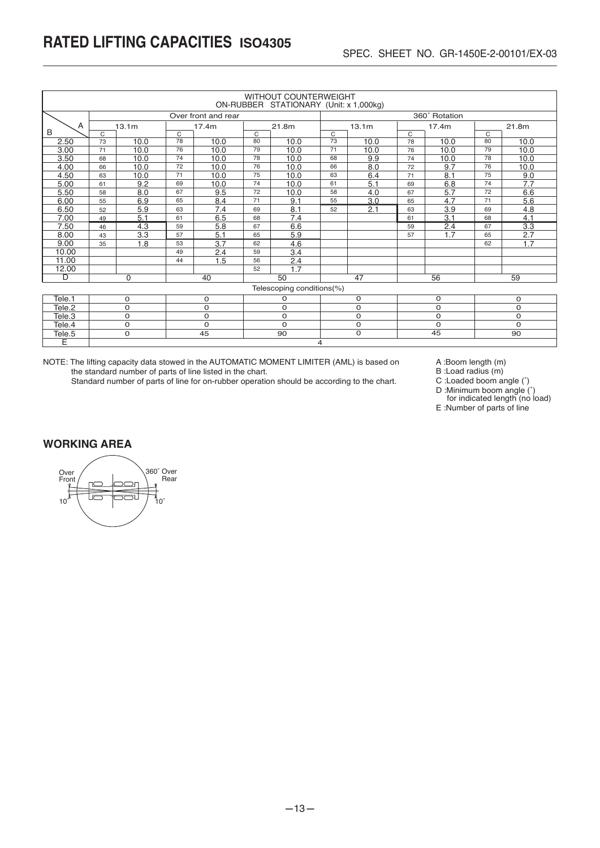|        | <b>WITHOUT COUNTERWEIGHT</b><br>ON-RUBBER STATIONARY (Unit: x 1,000kg) |                                                                        |                |                     |                |                           |    |       |    |               |    |       |  |  |
|--------|------------------------------------------------------------------------|------------------------------------------------------------------------|----------------|---------------------|----------------|---------------------------|----|-------|----|---------------|----|-------|--|--|
|        |                                                                        |                                                                        |                | Over front and rear |                |                           |    |       |    | 360° Rotation |    |       |  |  |
| A      |                                                                        | 13.1 <sub>m</sub>                                                      |                | 17.4m               |                | 21.8m                     |    | 13.1m |    | 17.4m         |    | 21.8m |  |  |
| B      | C                                                                      |                                                                        | $\overline{C}$ |                     | $\overline{C}$ |                           | C  |       | C  |               | C  |       |  |  |
| 2.50   | 73                                                                     | 10.0                                                                   | 78             | 10.0                | 80             | 10.0                      | 73 | 10.0  | 78 | 10.0          | 80 | 10.0  |  |  |
| 3.00   | 71                                                                     | 10.0                                                                   | 76             | 10.0                | 79             | 10.0                      | 71 | 10.0  | 76 | 10.0          | 79 | 10.0  |  |  |
| 3.50   | 68                                                                     | 10.0                                                                   | 74             | 10.0                | 78             | 10.0                      | 68 | 9.9   | 74 | 10.0          | 78 | 10.0  |  |  |
| 4.00   | 66                                                                     | 10.0                                                                   | 72             | 10.0                | 76             | 10.0                      | 66 | 8.0   | 72 | 9.7           | 76 | 10.0  |  |  |
| 4.50   | 63                                                                     | 10.0                                                                   | 71             | 10.0                | 75             | 10.0                      | 63 | 6.4   | 71 | 8.1           | 75 | 9.0   |  |  |
| 5.00   | 61                                                                     | 7.7<br>5.1<br>6.8<br>9.2<br>69<br>10.0<br>74<br>10.0<br>61<br>74<br>69 |                |                     |                |                           |    |       |    |               |    |       |  |  |
| 5.50   | 58                                                                     | 5.7<br>8.0<br>67<br>9.5<br>72<br>6.6<br>10.0<br>58<br>4.0<br>72<br>67  |                |                     |                |                           |    |       |    |               |    |       |  |  |
| 6.00   | 55                                                                     | 6.9<br>8.4<br>3.0<br>4.7<br>9.1<br>65<br>71<br>65<br>71<br>55          |                |                     |                |                           |    |       |    |               |    | 5.6   |  |  |
| 6.50   | 52                                                                     | 5.9                                                                    | 63             | 7.4                 | 69             | 8.1                       | 52 | 2.1   | 63 | 3.9           | 69 | 4.8   |  |  |
| 7.00   | 49                                                                     | 5.1                                                                    | 61             | 6.5                 | 68             | 7.4                       |    |       | 61 | 3.1           | 68 | 4.1   |  |  |
| 7.50   | 46                                                                     | 4.3                                                                    | 59             | 5.8                 | 67             | 6.6                       |    |       | 59 | 2.4           | 67 | 3.3   |  |  |
| 8.00   | 43                                                                     | 3.3                                                                    | 57             | 5.1                 | 65             | 5.9                       |    |       | 57 | 1.7           | 65 | 2.7   |  |  |
| 9.00   | 35                                                                     | 1.8                                                                    | 53             | 3.7                 | 62             | 4.6                       |    |       |    |               | 62 | 1.7   |  |  |
| 10.00  |                                                                        |                                                                        | 49             | 2.4                 | 59             | 3.4                       |    |       |    |               |    |       |  |  |
| 11.00  |                                                                        | 56<br>2.4<br>1.5<br>44                                                 |                |                     |                |                           |    |       |    |               |    |       |  |  |
| 12.00  |                                                                        |                                                                        |                |                     | 52             | 1.7                       |    |       |    |               |    |       |  |  |
| D      |                                                                        | $\Omega$                                                               |                | 40                  |                | 50                        |    | 47    |    | 56            |    | 59    |  |  |
|        |                                                                        |                                                                        |                |                     |                | Telescoping conditions(%) |    |       |    |               |    |       |  |  |
| Tele.1 | $\Omega$<br>$\Omega$<br>0<br>$\Omega$<br>$\Omega$<br>0                 |                                                                        |                |                     |                |                           |    |       |    |               |    |       |  |  |

| ICIC.1             |  |  |    |  |  |    |  |  |  |  |  |  |
|--------------------|--|--|----|--|--|----|--|--|--|--|--|--|
| Tele.2             |  |  |    |  |  |    |  |  |  |  |  |  |
| Tele.3             |  |  |    |  |  |    |  |  |  |  |  |  |
| Tele.4             |  |  |    |  |  |    |  |  |  |  |  |  |
| Tele <sub>.5</sub> |  |  | ററ |  |  | 9C |  |  |  |  |  |  |
|                    |  |  |    |  |  |    |  |  |  |  |  |  |

NOTE: The lifting capacity data stowed in the AUTOMATIC MOMENT LIMITER (AML) is based on the standard number of parts of line listed in the chart.

Standard number of parts of line for on-rubber operation should be according to the chart.

A :Boom length (m)

B :Load radius (m)

C :Loaded boom angle (˚)

D :Minimum boom angle (˚) for indicated length (no load)

E :Number of parts of line

#### **WORKING AREA**

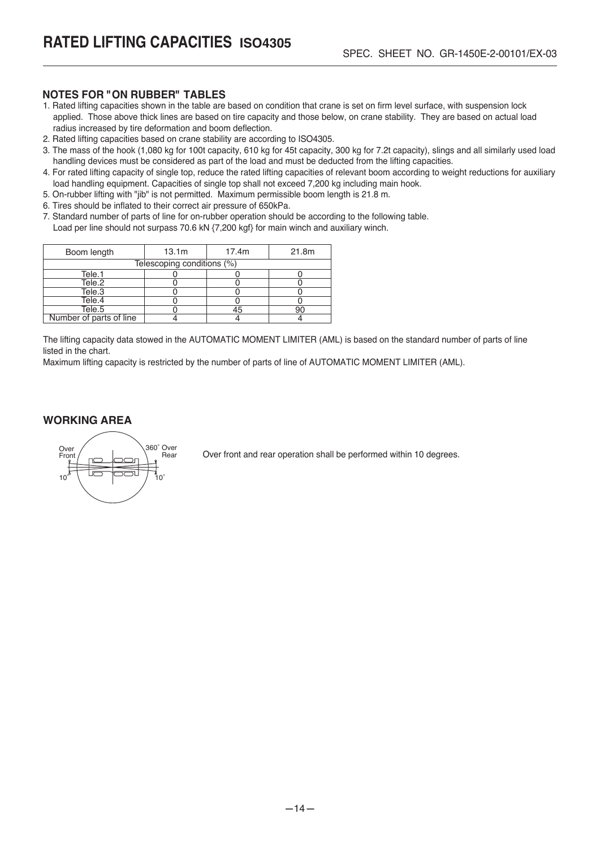#### **NOTES FOR "ON RUBBER" TABLES**

- 1. Rated lifting capacities shown in the table are based on condition that crane is set on firm level surface, with suspension lock applied. Those above thick lines are based on tire capacity and those below, on crane stability. They are based on actual load radius increased by tire deformation and boom deflection.
- 2. Rated lifting capacities based on crane stability are according to ISO4305.
- 3. The mass of the hook (1,080 kg for 100t capacity, 610 kg for 45t capacity, 300 kg for 7.2t capacity), slings and all similarly used load handling devices must be considered as part of the load and must be deducted from the lifting capacities.
- 4. For rated lifting capacity of single top, reduce the rated lifting capacities of relevant boom according to weight reductions for auxiliary load handling equipment. Capacities of single top shall not exceed 7,200 kg including main hook.
- 5. On-rubber lifting with "jib" is not permitted. Maximum permissible boom length is 21.8 m.
- 6. Tires should be inflated to their correct air pressure of 650kPa.
- 7. Standard number of parts of line for on-rubber operation should be according to the following table. Load per line should not surpass 70.6 kN {7,200 kgf} for main winch and auxiliary winch.

| Boom length             | 13.1m                      | 17.4m | 21.8m |
|-------------------------|----------------------------|-------|-------|
|                         | Telescoping conditions (%) |       |       |
| Tele.1                  |                            |       |       |
| Tele.2                  |                            |       |       |
| Tele.3                  |                            |       |       |
| Tele.4                  |                            |       |       |
| Tele.5                  |                            |       |       |
| Number of parts of line |                            |       |       |

The lifting capacity data stowed in the AUTOMATIC MOMENT LIMITER (AML) is based on the standard number of parts of line listed in the chart.

Maximum lifting capacity is restricted by the number of parts of line of AUTOMATIC MOMENT LIMITER (AML).

#### **WORKING AREA**



Over front and rear operation shall be performed within 10 degrees.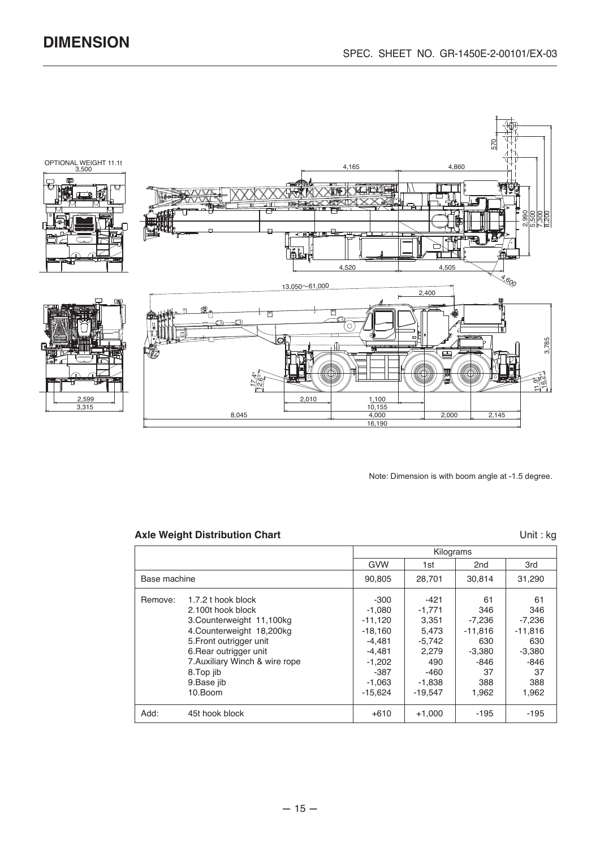

Note: Dimension is with boom angle at -1.5 degree.

#### Axle Weight Distribution Chart **National State Weight Distribution Chart**

|              |                                                                                                                                                          |                                                                    | Kilograms                                                 |                                                       |                                                       |
|--------------|----------------------------------------------------------------------------------------------------------------------------------------------------------|--------------------------------------------------------------------|-----------------------------------------------------------|-------------------------------------------------------|-------------------------------------------------------|
|              |                                                                                                                                                          | GVW                                                                | 1st                                                       | 2 <sub>nd</sub>                                       | 3rd                                                   |
| Base machine |                                                                                                                                                          | 90.805                                                             | 28.701                                                    | 30.814                                                | 31,290                                                |
| Remove:      | 1.7.2 t hook block<br>2.100t hook block<br>3. Counterweight 11, 100kg<br>4. Counterweight 18, 200kg<br>5. Front outrigger unit<br>6. Rear outrigger unit | -300<br>$-1,080$<br>$-11,120$<br>$-18,160$<br>$-4,481$<br>$-4,481$ | $-421$<br>$-1,771$<br>3,351<br>5,473<br>$-5,742$<br>2.279 | 61<br>346<br>$-7,236$<br>$-11,816$<br>630<br>$-3,380$ | 61<br>346<br>$-7,236$<br>$-11,816$<br>630<br>$-3,380$ |
|              | 7. Auxiliary Winch & wire rope<br>8. Top jib<br>9. Base jib<br>10.Boom                                                                                   | $-1,202$<br>-387<br>$-1,063$<br>$-15,624$                          | 490<br>$-460$<br>$-1,838$<br>$-19,547$                    | -846<br>37<br>388<br>1,962                            | -846<br>37<br>388<br>1,962                            |
| Add:         | 45t hook block                                                                                                                                           | $+610$                                                             | $+1,000$                                                  | $-195$                                                | -195                                                  |